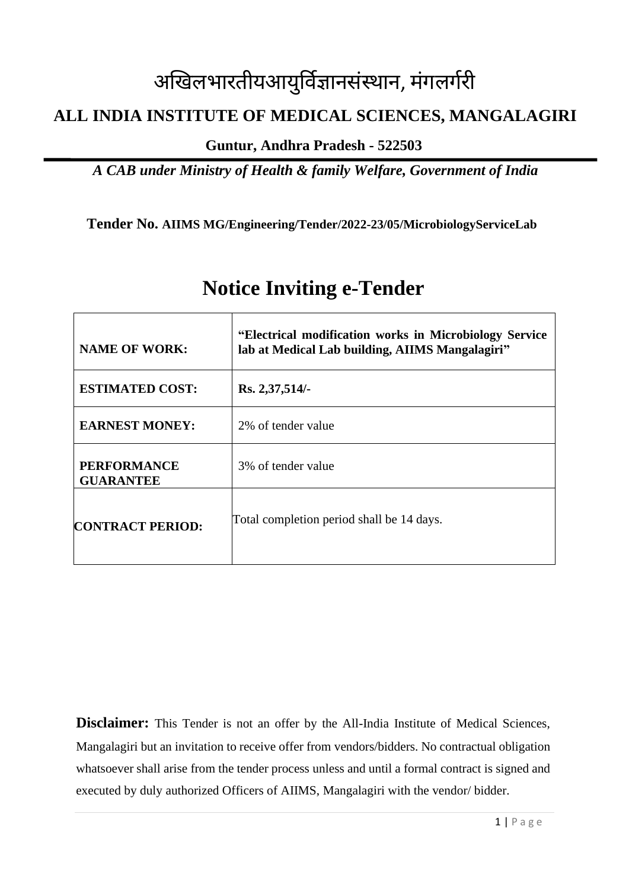# अखिलभारतीयआयुर्विज्ञानसंस्थान, मंगलगगरी

# **ALL INDIA INSTITUTE OF MEDICAL SCIENCES, MANGALAGIRI**

**Guntur, Andhra Pradesh - 522503**

*A CAB under Ministry of Health & family Welfare, Government of India*

**Tender No. AIIMS MG/Engineering/Tender/2022-23/05/MicrobiologyServiceLab**

| <b>NAME OF WORK:</b>                   | "Electrical modification works in Microbiology Service<br>lab at Medical Lab building, AIIMS Mangalagiri" |
|----------------------------------------|-----------------------------------------------------------------------------------------------------------|
| <b>ESTIMATED COST:</b>                 | Rs. 2,37,514/-                                                                                            |
| <b>EARNEST MONEY:</b>                  | 2% of tender value                                                                                        |
| <b>PERFORMANCE</b><br><b>GUARANTEE</b> | 3% of tender value                                                                                        |
| <b>CONTRACT PERIOD:</b>                | Total completion period shall be 14 days.                                                                 |

# **Notice Inviting e-Tender**

**Disclaimer:** This Tender is not an offer by the All-India Institute of Medical Sciences, Mangalagiri but an invitation to receive offer from vendors/bidders. No contractual obligation whatsoever shall arise from the tender process unless and until a formal contract is signed and executed by duly authorized Officers of AIIMS, Mangalagiri with the vendor/ bidder.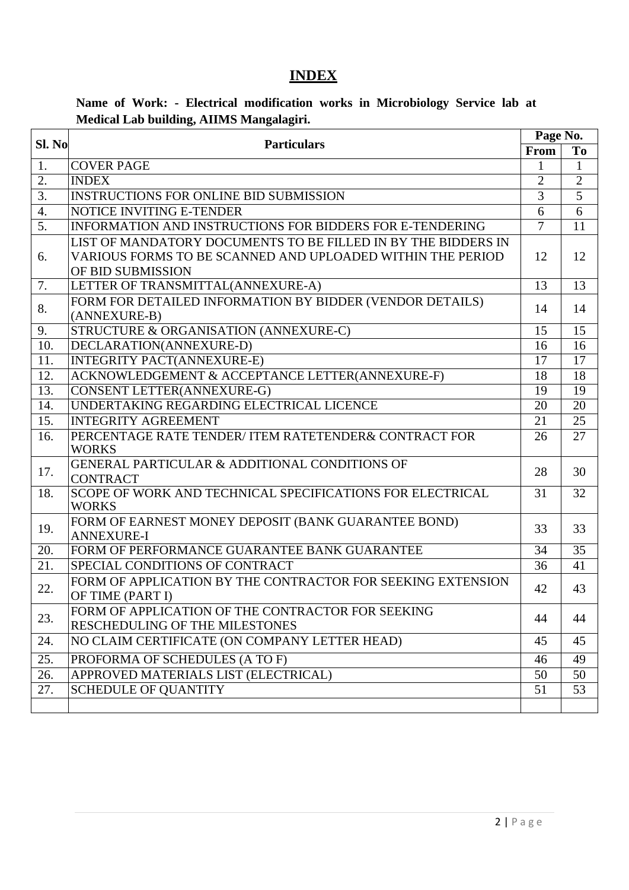# **INDEX**

## **Name of Work: - Electrical modification works in Microbiology Service lab at Medical Lab building, AIIMS Mangalagiri.**

|                  | Sl. No<br><b>Particulars</b>                                  |                | Page No.        |  |  |
|------------------|---------------------------------------------------------------|----------------|-----------------|--|--|
|                  |                                                               |                | To              |  |  |
| 1.               | <b>COVER PAGE</b>                                             | 1              | $\mathbf{1}$    |  |  |
| $\overline{2}$ . | <b>INDEX</b>                                                  | $\overline{2}$ | $\overline{2}$  |  |  |
| $\overline{3}$ . | <b>INSTRUCTIONS FOR ONLINE BID SUBMISSION</b>                 | $\overline{3}$ | $\overline{5}$  |  |  |
| $\overline{4}$ . | <b>NOTICE INVITING E-TENDER</b>                               | 6              | 6               |  |  |
| $\overline{5}$ . | INFORMATION AND INSTRUCTIONS FOR BIDDERS FOR E-TENDERING      | $\overline{7}$ | 11              |  |  |
|                  | LIST OF MANDATORY DOCUMENTS TO BE FILLED IN BY THE BIDDERS IN |                |                 |  |  |
| 6.               | VARIOUS FORMS TO BE SCANNED AND UPLOADED WITHIN THE PERIOD    | 12             | 12              |  |  |
|                  | OF BID SUBMISSION                                             |                |                 |  |  |
| 7.               | LETTER OF TRANSMITTAL(ANNEXURE-A)                             | 13             | 13              |  |  |
| 8.               | FORM FOR DETAILED INFORMATION BY BIDDER (VENDOR DETAILS)      | 14             | 14              |  |  |
|                  | (ANNEXURE-B)                                                  |                |                 |  |  |
| 9.               | STRUCTURE & ORGANISATION (ANNEXURE-C)                         | 15             | 15              |  |  |
| 10.              | DECLARATION(ANNEXURE-D)                                       | 16             | 16              |  |  |
| 11.              | <b>INTEGRITY PACT(ANNEXURE-E)</b>                             | 17             | 17              |  |  |
| 12.              | ACKNOWLEDGEMENT & ACCEPTANCE LETTER(ANNEXURE-F)               | 18             | 18              |  |  |
| 13.              | CONSENT LETTER(ANNEXURE-G)                                    | 19             | 19              |  |  |
| 14.              | UNDERTAKING REGARDING ELECTRICAL LICENCE                      | 20             | 20              |  |  |
| 15.              | <b>INTEGRITY AGREEMENT</b>                                    | 21             | 25              |  |  |
| 16.              | PERCENTAGE RATE TENDER/ITEM RATETENDER& CONTRACT FOR          | 26             | $\overline{27}$ |  |  |
|                  | <b>WORKS</b>                                                  |                |                 |  |  |
| 17.              | GENERAL PARTICULAR & ADDITIONAL CONDITIONS OF                 | 28             | 30              |  |  |
|                  | <b>CONTRACT</b>                                               |                |                 |  |  |
| 18.              | SCOPE OF WORK AND TECHNICAL SPECIFICATIONS FOR ELECTRICAL     | 31             | 32              |  |  |
|                  | <b>WORKS</b>                                                  |                |                 |  |  |
| 19.              | FORM OF EARNEST MONEY DEPOSIT (BANK GUARANTEE BOND)           | 33             | 33              |  |  |
|                  | <b>ANNEXURE-I</b>                                             |                |                 |  |  |
| 20.              | FORM OF PERFORMANCE GUARANTEE BANK GUARANTEE                  | 34             | 35              |  |  |
| 21.              | SPECIAL CONDITIONS OF CONTRACT                                | 36             | 41              |  |  |
| 22.              | FORM OF APPLICATION BY THE CONTRACTOR FOR SEEKING EXTENSION   | 42             | 43              |  |  |
|                  | OF TIME (PART I)                                              |                |                 |  |  |
| 23.              | FORM OF APPLICATION OF THE CONTRACTOR FOR SEEKING             | 44             | 44              |  |  |
|                  | RESCHEDULING OF THE MILESTONES                                |                |                 |  |  |
| 24.              | NO CLAIM CERTIFICATE (ON COMPANY LETTER HEAD)                 | 45             | 45              |  |  |
| 25.              | PROFORMA OF SCHEDULES (A TO F)                                | 46             | 49              |  |  |
| 26.              | APPROVED MATERIALS LIST (ELECTRICAL)                          | 50             | 50              |  |  |
| 27.              | <b>SCHEDULE OF QUANTITY</b>                                   | 51             | 53              |  |  |
|                  |                                                               |                |                 |  |  |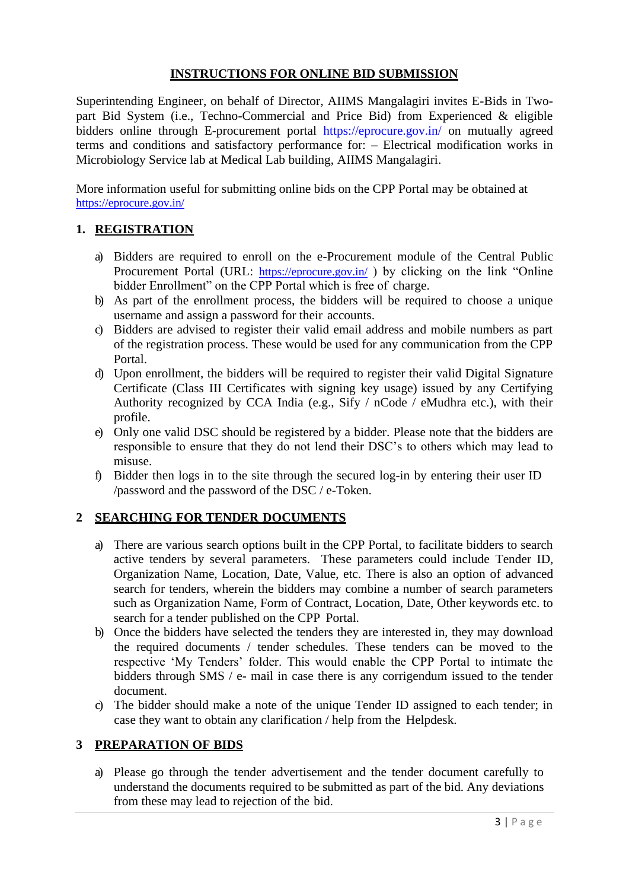#### **INSTRUCTIONS FOR ONLINE BID SUBMISSION**

Superintending Engineer, on behalf of Director, AIIMS Mangalagiri invites E-Bids in Twopart Bid System (i.e., Techno-Commercial and Price Bid) from Experienced & eligible bidders online through E-procurement portal https://eprocure.gov.in/ on mutually agreed terms and conditions and satisfactory performance for: – Electrical modification works in Microbiology Service lab at Medical Lab building, AIIMS Mangalagiri.

More information useful for submitting online bids on the CPP Portal may be obtained at <https://eprocure.gov.in/>

#### **1. REGISTRATION**

- a) Bidders are required to enroll on the e-Procurement module of the Central Public Procurement Portal (URL: <https://eprocure.gov.in/>) by clicking on the link "Online bidder Enrollment" on the CPP Portal which is free of charge.
- b) As part of the enrollment process, the bidders will be required to choose a unique username and assign a password for their accounts.
- c) Bidders are advised to register their valid email address and mobile numbers as part of the registration process. These would be used for any communication from the CPP Portal.
- d) Upon enrollment, the bidders will be required to register their valid Digital Signature Certificate (Class III Certificates with signing key usage) issued by any Certifying Authority recognized by CCA India (e.g., Sify / nCode / eMudhra etc.), with their profile.
- e) Only one valid DSC should be registered by a bidder. Please note that the bidders are responsible to ensure that they do not lend their DSC's to others which may lead to misuse.
- f) Bidder then logs in to the site through the secured log-in by entering their user ID /password and the password of the DSC / e-Token.

#### **2 SEARCHING FOR TENDER DOCUMENTS**

- a) There are various search options built in the CPP Portal, to facilitate bidders to search active tenders by several parameters. These parameters could include Tender ID, Organization Name, Location, Date, Value, etc. There is also an option of advanced search for tenders, wherein the bidders may combine a number of search parameters such as Organization Name, Form of Contract, Location, Date, Other keywords etc. to search for a tender published on the CPP Portal.
- b) Once the bidders have selected the tenders they are interested in, they may download the required documents / tender schedules. These tenders can be moved to the respective 'My Tenders' folder. This would enable the CPP Portal to intimate the bidders through SMS / e- mail in case there is any corrigendum issued to the tender document.
- c) The bidder should make a note of the unique Tender ID assigned to each tender; in case they want to obtain any clarification / help from the Helpdesk.

#### **3 PREPARATION OF BIDS**

a) Please go through the tender advertisement and the tender document carefully to understand the documents required to be submitted as part of the bid. Any deviations from these may lead to rejection of the bid.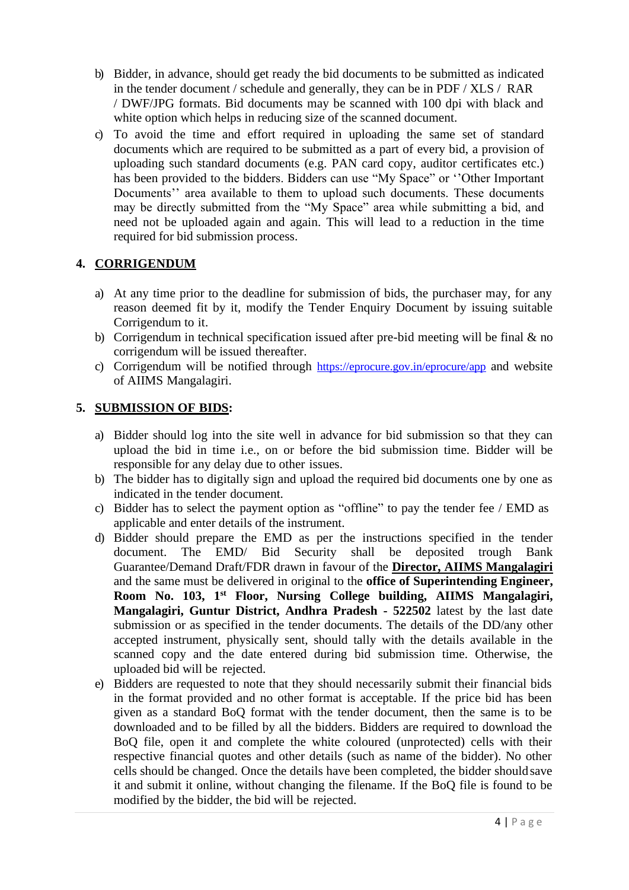- b) Bidder, in advance, should get ready the bid documents to be submitted as indicated in the tender document / schedule and generally, they can be in PDF / XLS / RAR / DWF/JPG formats. Bid documents may be scanned with 100 dpi with black and white option which helps in reducing size of the scanned document.
- c) To avoid the time and effort required in uploading the same set of standard documents which are required to be submitted as a part of every bid, a provision of uploading such standard documents (e.g. PAN card copy, auditor certificates etc.) has been provided to the bidders. Bidders can use "My Space" or ''Other Important Documents'' area available to them to upload such documents. These documents may be directly submitted from the "My Space" area while submitting a bid, and need not be uploaded again and again. This will lead to a reduction in the time required for bid submission process.

#### **4. CORRIGENDUM**

- a) At any time prior to the deadline for submission of bids, the purchaser may, for any reason deemed fit by it, modify the Tender Enquiry Document by issuing suitable Corrigendum to it.
- b) Corrigendum in technical specification issued after pre-bid meeting will be final  $\&$  no corrigendum will be issued thereafter.
- c) Corrigendum will be notified through <https://eprocure.gov.in/eprocure/app> and website of AIIMS Mangalagiri.

#### **5. SUBMISSION OF BIDS:**

- a) Bidder should log into the site well in advance for bid submission so that they can upload the bid in time i.e., on or before the bid submission time. Bidder will be responsible for any delay due to other issues.
- b) The bidder has to digitally sign and upload the required bid documents one by one as indicated in the tender document.
- c) Bidder has to select the payment option as "offline" to pay the tender fee / EMD as applicable and enter details of the instrument.
- d) Bidder should prepare the EMD as per the instructions specified in the tender document. The EMD/ Bid Security shall be deposited trough Bank Guarantee/Demand Draft/FDR drawn in favour of the **Director, AIIMS Mangalagiri** and the same must be delivered in original to the **office of Superintending Engineer, Room No. 103, 1st Floor, Nursing College building, AIIMS Mangalagiri, Mangalagiri, Guntur District, Andhra Pradesh - 522502** latest by the last date submission or as specified in the tender documents. The details of the DD/any other accepted instrument, physically sent, should tally with the details available in the scanned copy and the date entered during bid submission time. Otherwise, the uploaded bid will be rejected.
- e) Bidders are requested to note that they should necessarily submit their financial bids in the format provided and no other format is acceptable. If the price bid has been given as a standard BoQ format with the tender document, then the same is to be downloaded and to be filled by all the bidders. Bidders are required to download the BoQ file, open it and complete the white coloured (unprotected) cells with their respective financial quotes and other details (such as name of the bidder). No other cells should be changed. Once the details have been completed, the bidder shouldsave it and submit it online, without changing the filename. If the BoQ file is found to be modified by the bidder, the bid will be rejected.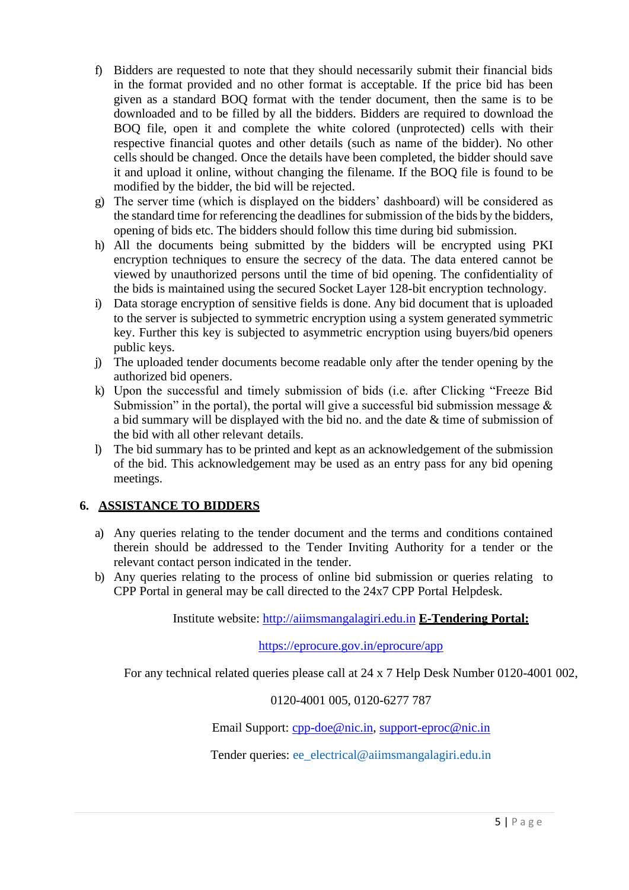- f) Bidders are requested to note that they should necessarily submit their financial bids in the format provided and no other format is acceptable. If the price bid has been given as a standard BOQ format with the tender document, then the same is to be downloaded and to be filled by all the bidders. Bidders are required to download the BOQ file, open it and complete the white colored (unprotected) cells with their respective financial quotes and other details (such as name of the bidder). No other cells should be changed. Once the details have been completed, the bidder should save it and upload it online, without changing the filename. If the BOQ file is found to be modified by the bidder, the bid will be rejected.
- g) The server time (which is displayed on the bidders' dashboard) will be considered as the standard time for referencing the deadlines for submission of the bids by the bidders, opening of bids etc. The bidders should follow this time during bid submission.
- h) All the documents being submitted by the bidders will be encrypted using PKI encryption techniques to ensure the secrecy of the data. The data entered cannot be viewed by unauthorized persons until the time of bid opening. The confidentiality of the bids is maintained using the secured Socket Layer 128-bit encryption technology.
- i) Data storage encryption of sensitive fields is done. Any bid document that is uploaded to the server is subjected to symmetric encryption using a system generated symmetric key. Further this key is subjected to asymmetric encryption using buyers/bid openers public keys.
- j) The uploaded tender documents become readable only after the tender opening by the authorized bid openers.
- k) Upon the successful and timely submission of bids (i.e. after Clicking "Freeze Bid Submission" in the portal), the portal will give a successful bid submission message  $\&$ a bid summary will be displayed with the bid no. and the date & time of submission of the bid with all other relevant details.
- l) The bid summary has to be printed and kept as an acknowledgement of the submission of the bid. This acknowledgement may be used as an entry pass for any bid opening meetings.

### **6. ASSISTANCE TO BIDDERS**

- a) Any queries relating to the tender document and the terms and conditions contained therein should be addressed to the Tender Inviting Authority for a tender or the relevant contact person indicated in the tender.
- b) Any queries relating to the process of online bid submission or queries relating to CPP Portal in general may be call directed to the 24x7 CPP Portal Helpdesk.

Institute website: [http://aiimsmangalagiri.edu.in](http://aiimsmangalagiri.edu.in/) **E-Tendering Portal:**

<https://eprocure.gov.in/eprocure/app>

For any technical related queries please call at 24 x 7 Help Desk Number 0120-4001 002,

0120-4001 005, 0120-6277 787

Email Support: [cpp-doe@nic.in,](mailto:cpp-doe@nic.in) [support-eproc@nic.in](mailto:support-eproc@nic.in)

Tender queries: [ee\\_electrical@aiimsmangalagiri.edu.in](mailto:ee_electrical@aiimsmangalagiri.edu.in)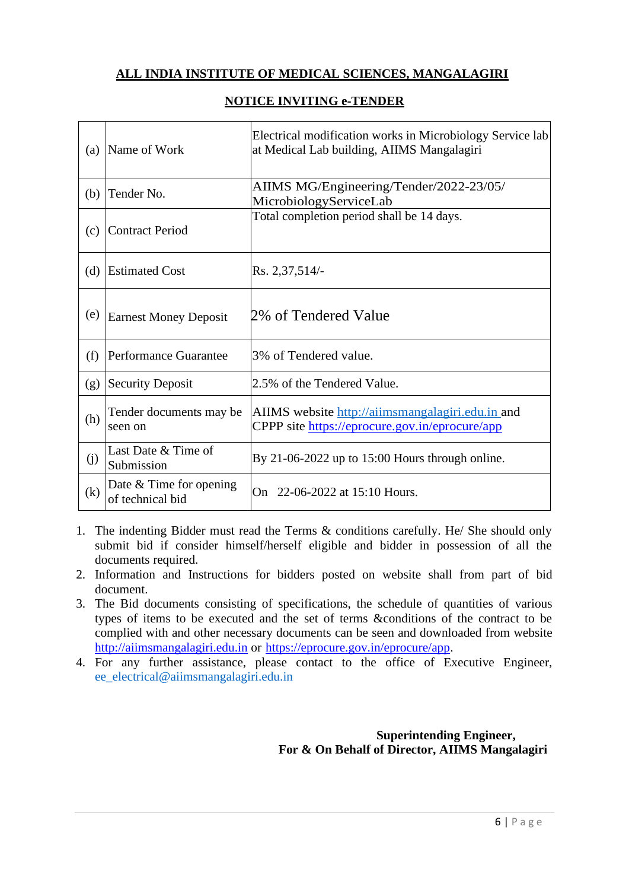#### **ALL INDIA INSTITUTE OF MEDICAL SCIENCES, MANGALAGIRI**

| (a) | Name of Work                                  | Electrical modification works in Microbiology Service lab<br>at Medical Lab building, AIIMS Mangalagiri |
|-----|-----------------------------------------------|---------------------------------------------------------------------------------------------------------|
| (b) | Tender No.                                    | AIIMS MG/Engineering/Tender/2022-23/05/<br>MicrobiologyServiceLab                                       |
| (c) | <b>Contract Period</b>                        | Total completion period shall be 14 days.                                                               |
| (d) | <b>Estimated Cost</b>                         | Rs. 2,37,514/                                                                                           |
| (e) | <b>Earnest Money Deposit</b>                  | 2% of Tendered Value                                                                                    |
| (f) | Performance Guarantee                         | 3% of Tendered value.                                                                                   |
| (g) | <b>Security Deposit</b>                       | 2.5% of the Tendered Value.                                                                             |
| (h) | Tender documents may be<br>seen on            | AIIMS website http://aiimsmangalagiri.edu.in and<br>CPPP site https://eprocure.gov.in/eprocure/app      |
| (j) | Last Date & Time of<br>Submission             | By 21-06-2022 up to $15:00$ Hours through online.                                                       |
| (k) | Date $&$ Time for opening<br>of technical bid | On 22-06-2022 at 15:10 Hours.                                                                           |

#### **NOTICE INVITING e-TENDER**

- 1. The indenting Bidder must read the Terms & conditions carefully. He/ She should only submit bid if consider himself/herself eligible and bidder in possession of all the documents required.
- 2. Information and Instructions for bidders posted on website shall from part of bid document.
- 3. The Bid documents consisting of specifications, the schedule of quantities of various types of items to be executed and the set of terms &conditions of the contract to be complied with and other necessary documents can be seen and downloaded from website [http://aiimsmangalagiri.edu.in](http://aiimsmangalagiri.edu.in/) or [https://eprocure.gov.in/eprocure/app.](https://eprocure.gov.in/eprocure/app)
- 4. For any further assistance, please contact to the office of Executive Engineer[,](mailto:%20ee_electrical@aiimsmangalagiri.edu.in) [ee\\_electrical@aiimsmangalagiri.edu.in](mailto:%20ee_electrical@aiimsmangalagiri.edu.in)

#### **Superintending Engineer, For & On Behalf of Director, AIIMS Mangalagiri**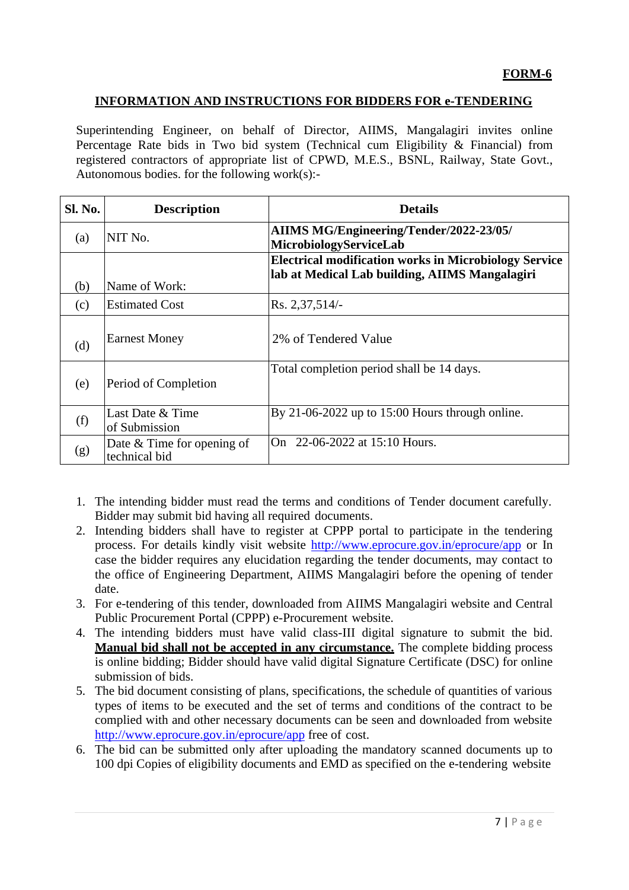#### **INFORMATION AND INSTRUCTIONS FOR BIDDERS FOR e-TENDERING**

Superintending Engineer, on behalf of Director, AIIMS, Mangalagiri invites online Percentage Rate bids in Two bid system (Technical cum Eligibility & Financial) from registered contractors of appropriate list of CPWD, M.E.S., BSNL, Railway, State Govt., Autonomous bodies. for the following work(s):-

| Sl. No. | <b>Description</b>                            | <b>Details</b>                                                                                                 |
|---------|-----------------------------------------------|----------------------------------------------------------------------------------------------------------------|
| (a)     | NIT No.                                       | AIIMS MG/Engineering/Tender/2022-23/05/<br>MicrobiologyServiceLab                                              |
| (b)     | Name of Work:                                 | <b>Electrical modification works in Microbiology Service</b><br>lab at Medical Lab building, AIIMS Mangalagiri |
| (c)     | <b>Estimated Cost</b>                         | Rs. 2,37,514/-                                                                                                 |
| (d)     | <b>Earnest Money</b>                          | 2% of Tendered Value                                                                                           |
| (e)     | Period of Completion                          | Total completion period shall be 14 days.                                                                      |
| (f)     | Last Date & Time<br>of Submission             | By 21-06-2022 up to 15:00 Hours through online.                                                                |
| (g)     | Date $&$ Time for opening of<br>technical bid | On 22-06-2022 at 15:10 Hours.                                                                                  |

- 1. The intending bidder must read the terms and conditions of Tender document carefully. Bidder may submit bid having all required documents.
- 2. Intending bidders shall have to register at CPPP portal to participate in the tendering process. For details kindly visit website <http://www.eprocure.gov.in/eprocure/app> or In case the bidder requires any elucidation regarding the tender documents, may contact to the office of Engineering Department, AIIMS Mangalagiri before the opening of tender date.
- 3. For e-tendering of this tender, downloaded from AIIMS Mangalagiri website and Central Public Procurement Portal (CPPP) e-Procurement website.
- 4. The intending bidders must have valid class-III digital signature to submit the bid. **Manual bid shall not be accepted in any circumstance.** The complete bidding process is online bidding; Bidder should have valid digital Signature Certificate (DSC) for online submission of bids.
- 5. The bid document consisting of plans, specifications, the schedule of quantities of various types of items to be executed and the set of terms and conditions of the contract to be complied with and other necessary documents can be seen and downloaded from website <http://www.eprocure.gov.in/eprocure/app> free of cost.
- 6. The bid can be submitted only after uploading the mandatory scanned documents up to 100 dpi Copies of eligibility documents and EMD as specified on the e-tendering website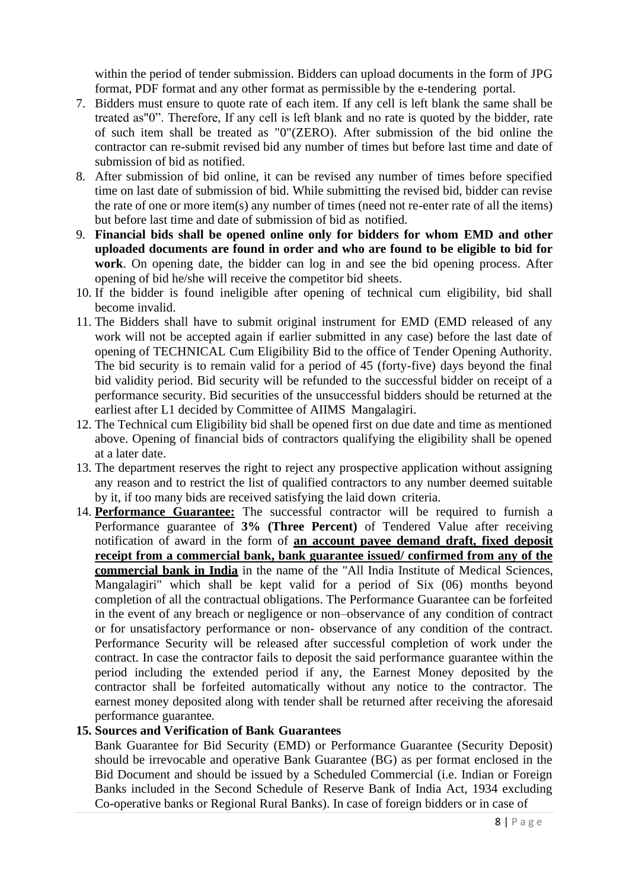within the period of tender submission. Bidders can upload documents in the form of JPG format, PDF format and any other format as permissible by the e-tendering portal.

- 7. Bidders must ensure to quote rate of each item. If any cell is left blank the same shall be treated as"0". Therefore, If any cell is left blank and no rate is quoted by the bidder, rate of such item shall be treated as "0"(ZERO). After submission of the bid online the contractor can re-submit revised bid any number of times but before last time and date of submission of bid as notified.
- 8. After submission of bid online, it can be revised any number of times before specified time on last date of submission of bid. While submitting the revised bid, bidder can revise the rate of one or more item(s) any number of times (need not re-enter rate of all the items) but before last time and date of submission of bid as notified.
- 9. **Financial bids shall be opened online only for bidders for whom EMD and other uploaded documents are found in order and who are found to be eligible to bid for work**. On opening date, the bidder can log in and see the bid opening process. After opening of bid he/she will receive the competitor bid sheets.
- 10. If the bidder is found ineligible after opening of technical cum eligibility, bid shall become invalid.
- 11. The Bidders shall have to submit original instrument for EMD (EMD released of any work will not be accepted again if earlier submitted in any case) before the last date of opening of TECHNICAL Cum Eligibility Bid to the office of Tender Opening Authority. The bid security is to remain valid for a period of 45 (forty-five) days beyond the final bid validity period. Bid security will be refunded to the successful bidder on receipt of a performance security. Bid securities of the unsuccessful bidders should be returned at the earliest after L1 decided by Committee of AIIMS Mangalagiri.
- 12. The Technical cum Eligibility bid shall be opened first on due date and time as mentioned above. Opening of financial bids of contractors qualifying the eligibility shall be opened at a later date.
- 13. The department reserves the right to reject any prospective application without assigning any reason and to restrict the list of qualified contractors to any number deemed suitable by it, if too many bids are received satisfying the laid down criteria.
- 14. **Performance Guarantee:** The successful contractor will be required to furnish a Performance guarantee of **3% (Three Percent)** of Tendered Value after receiving notification of award in the form of **an account payee demand draft, fixed deposit receipt from a commercial bank, bank guarantee issued/ confirmed from any of the commercial bank in India** in the name of the "All India Institute of Medical Sciences, Mangalagiri" which shall be kept valid for a period of Six (06) months beyond completion of all the contractual obligations. The Performance Guarantee can be forfeited in the event of any breach or negligence or non–observance of any condition of contract or for unsatisfactory performance or non- observance of any condition of the contract. Performance Security will be released after successful completion of work under the contract. In case the contractor fails to deposit the said performance guarantee within the period including the extended period if any, the Earnest Money deposited by the contractor shall be forfeited automatically without any notice to the contractor. The earnest money deposited along with tender shall be returned after receiving the aforesaid performance guarantee.

#### **15. Sources and Verification of Bank Guarantees**

Bank Guarantee for Bid Security (EMD) or Performance Guarantee (Security Deposit) should be irrevocable and operative Bank Guarantee (BG) as per format enclosed in the Bid Document and should be issued by a Scheduled Commercial (i.e. Indian or Foreign Banks included in the Second Schedule of Reserve Bank of India Act, 1934 excluding Co-operative banks or Regional Rural Banks). In case of foreign bidders or in case of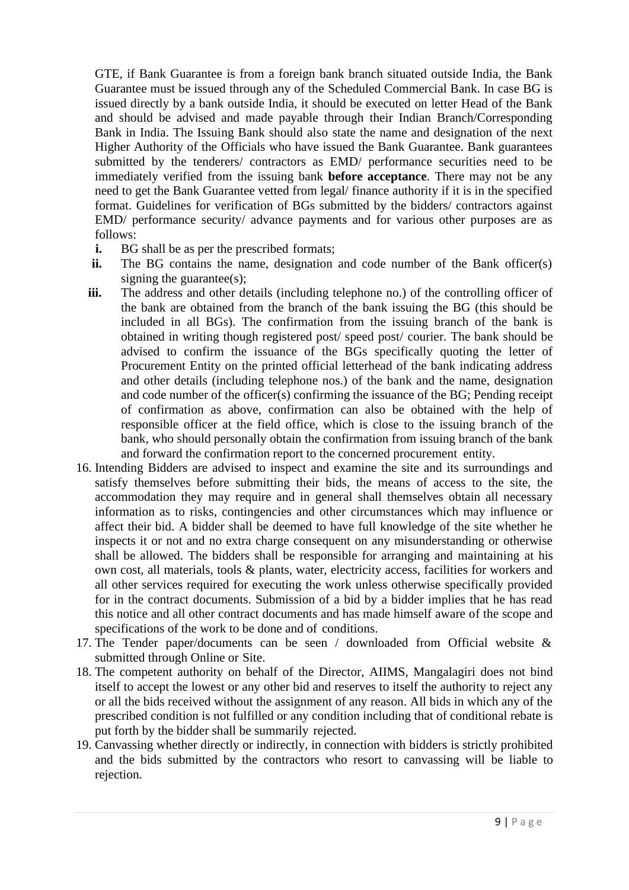GTE, if Bank Guarantee is from a foreign bank branch situated outside India, the Bank Guarantee must be issued through any of the Scheduled Commercial Bank. In case BG is issued directly by a bank outside India, it should be executed on letter Head of the Bank and should be advised and made payable through their Indian Branch/Corresponding Bank in India. The Issuing Bank should also state the name and designation of the next Higher Authority of the Officials who have issued the Bank Guarantee. Bank guarantees submitted by the tenderers/ contractors as EMD/ performance securities need to be immediately verified from the issuing bank **before acceptance**. There may not be any need to get the Bank Guarantee vetted from legal/ finance authority if it is in the specified format. Guidelines for verification of BGs submitted by the bidders/ contractors against EMD/ performance security/ advance payments and for various other purposes are as follows:

- **i.** BG shall be as per the prescribed formats;
- **ii.** The BG contains the name, designation and code number of the Bank officer(s) signing the guarantee(s);
- iii. The address and other details (including telephone no.) of the controlling officer of the bank are obtained from the branch of the bank issuing the BG (this should be included in all BGs). The confirmation from the issuing branch of the bank is obtained in writing though registered post/ speed post/ courier. The bank should be advised to confirm the issuance of the BGs specifically quoting the letter of Procurement Entity on the printed official letterhead of the bank indicating address and other details (including telephone nos.) of the bank and the name, designation and code number of the officer(s) confirming the issuance of the BG; Pending receipt of confirmation as above, confirmation can also be obtained with the help of responsible officer at the field office, which is close to the issuing branch of the bank, who should personally obtain the confirmation from issuing branch of the bank and forward the confirmation report to the concerned procurement entity.
- 16. Intending Bidders are advised to inspect and examine the site and its surroundings and satisfy themselves before submitting their bids, the means of access to the site, the accommodation they may require and in general shall themselves obtain all necessary information as to risks, contingencies and other circumstances which may influence or affect their bid. A bidder shall be deemed to have full knowledge of the site whether he inspects it or not and no extra charge consequent on any misunderstanding or otherwise shall be allowed. The bidders shall be responsible for arranging and maintaining at his own cost, all materials, tools & plants, water, electricity access, facilities for workers and all other services required for executing the work unless otherwise specifically provided for in the contract documents. Submission of a bid by a bidder implies that he has read this notice and all other contract documents and has made himself aware of the scope and specifications of the work to be done and of conditions.
- 17. The Tender paper/documents can be seen / downloaded from Official website & submitted through Online or Site.
- 18. The competent authority on behalf of the Director, AIIMS, Mangalagiri does not bind itself to accept the lowest or any other bid and reserves to itself the authority to reject any or all the bids received without the assignment of any reason. All bids in which any of the prescribed condition is not fulfilled or any condition including that of conditional rebate is put forth by the bidder shall be summarily rejected.
- 19. Canvassing whether directly or indirectly, in connection with bidders is strictly prohibited and the bids submitted by the contractors who resort to canvassing will be liable to rejection.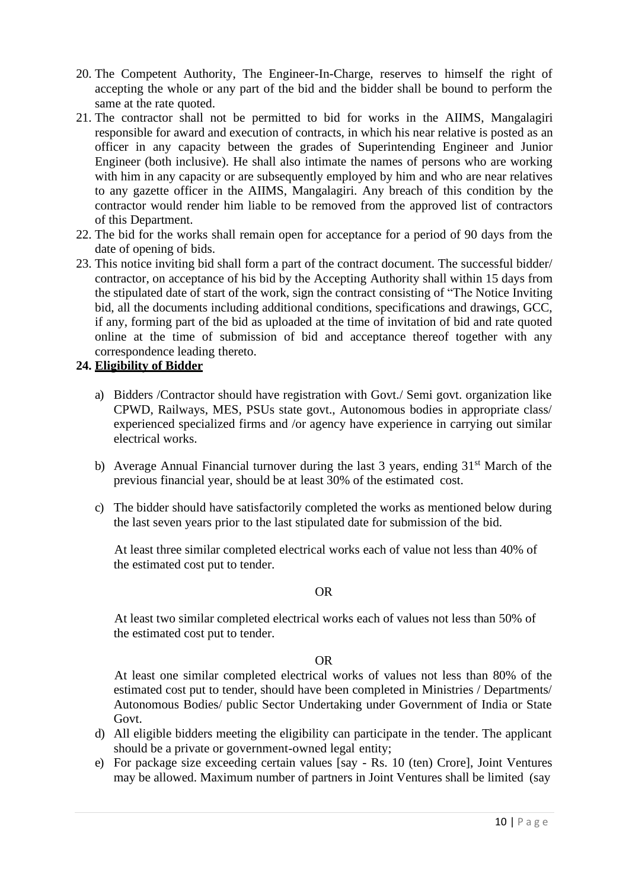- 20. The Competent Authority, The Engineer-In-Charge, reserves to himself the right of accepting the whole or any part of the bid and the bidder shall be bound to perform the same at the rate quoted.
- 21. The contractor shall not be permitted to bid for works in the AIIMS, Mangalagiri responsible for award and execution of contracts, in which his near relative is posted as an officer in any capacity between the grades of Superintending Engineer and Junior Engineer (both inclusive). He shall also intimate the names of persons who are working with him in any capacity or are subsequently employed by him and who are near relatives to any gazette officer in the AIIMS, Mangalagiri. Any breach of this condition by the contractor would render him liable to be removed from the approved list of contractors of this Department.
- 22. The bid for the works shall remain open for acceptance for a period of 90 days from the date of opening of bids.
- 23. This notice inviting bid shall form a part of the contract document. The successful bidder/ contractor, on acceptance of his bid by the Accepting Authority shall within 15 days from the stipulated date of start of the work, sign the contract consisting of "The Notice Inviting bid, all the documents including additional conditions, specifications and drawings, GCC, if any, forming part of the bid as uploaded at the time of invitation of bid and rate quoted online at the time of submission of bid and acceptance thereof together with any correspondence leading thereto.

#### **24. Eligibility of Bidder**

- a) Bidders /Contractor should have registration with Govt./ Semi govt. organization like CPWD, Railways, MES, PSUs state govt., Autonomous bodies in appropriate class/ experienced specialized firms and /or agency have experience in carrying out similar electrical works.
- b) Average Annual Financial turnover during the last 3 years, ending 31<sup>st</sup> March of the previous financial year, should be at least 30% of the estimated cost.
- c) The bidder should have satisfactorily completed the works as mentioned below during the last seven years prior to the last stipulated date for submission of the bid.

At least three similar completed electrical works each of value not less than 40% of the estimated cost put to tender.

#### OR

At least two similar completed electrical works each of values not less than 50% of the estimated cost put to tender.

#### OR

At least one similar completed electrical works of values not less than 80% of the estimated cost put to tender, should have been completed in Ministries / Departments/ Autonomous Bodies/ public Sector Undertaking under Government of India or State Govt.

- d) All eligible bidders meeting the eligibility can participate in the tender. The applicant should be a private or government-owned legal entity;
- e) For package size exceeding certain values [say Rs. 10 (ten) Crore], Joint Ventures may be allowed. Maximum number of partners in Joint Ventures shall be limited (say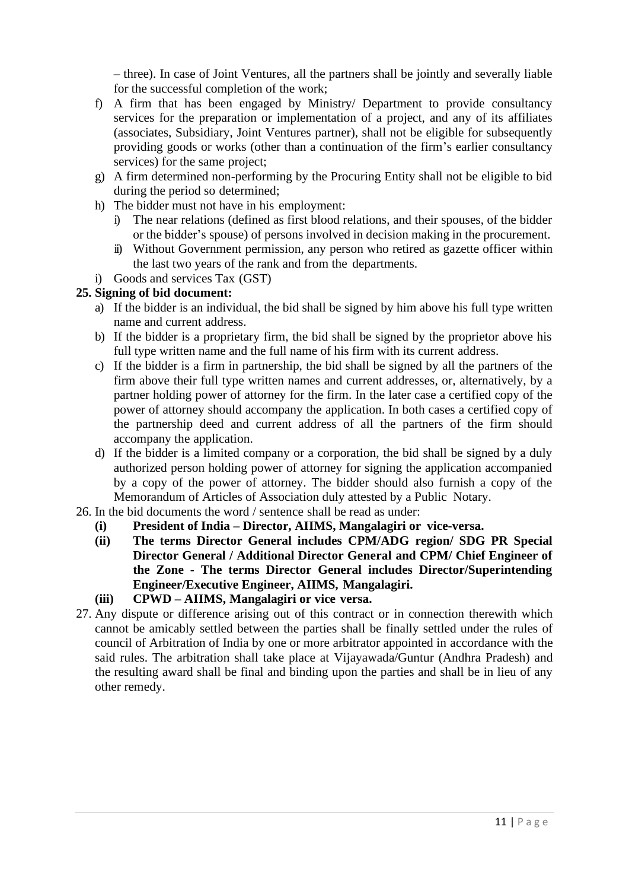– three). In case of Joint Ventures, all the partners shall be jointly and severally liable for the successful completion of the work;

- f) A firm that has been engaged by Ministry/ Department to provide consultancy services for the preparation or implementation of a project, and any of its affiliates (associates, Subsidiary, Joint Ventures partner), shall not be eligible for subsequently providing goods or works (other than a continuation of the firm's earlier consultancy services) for the same project;
- g) A firm determined non-performing by the Procuring Entity shall not be eligible to bid during the period so determined;
- h) The bidder must not have in his employment:
	- i) The near relations (defined as first blood relations, and their spouses, of the bidder or the bidder's spouse) of persons involved in decision making in the procurement.
	- ii) Without Government permission, any person who retired as gazette officer within the last two years of the rank and from the departments.
- i) Goods and services Tax (GST)

#### **25. Signing of bid document:**

- a) If the bidder is an individual, the bid shall be signed by him above his full type written name and current address.
- b) If the bidder is a proprietary firm, the bid shall be signed by the proprietor above his full type written name and the full name of his firm with its current address.
- c) If the bidder is a firm in partnership, the bid shall be signed by all the partners of the firm above their full type written names and current addresses, or, alternatively, by a partner holding power of attorney for the firm. In the later case a certified copy of the power of attorney should accompany the application. In both cases a certified copy of the partnership deed and current address of all the partners of the firm should accompany the application.
- d) If the bidder is a limited company or a corporation, the bid shall be signed by a duly authorized person holding power of attorney for signing the application accompanied by a copy of the power of attorney. The bidder should also furnish a copy of the Memorandum of Articles of Association duly attested by a Public Notary.
- 26. In the bid documents the word / sentence shall be read as under:
	- **(i) President of India – Director, AIIMS, Mangalagiri or vice-versa.**
	- **(ii) The terms Director General includes CPM/ADG region/ SDG PR Special Director General / Additional Director General and CPM/ Chief Engineer of the Zone - The terms Director General includes Director/Superintending Engineer/Executive Engineer, AIIMS, Mangalagiri.**
	- **(iii) CPWD – AIIMS, Mangalagiri or vice versa.**
- 27. Any dispute or difference arising out of this contract or in connection therewith which cannot be amicably settled between the parties shall be finally settled under the rules of council of Arbitration of India by one or more arbitrator appointed in accordance with the said rules. The arbitration shall take place at Vijayawada/Guntur (Andhra Pradesh) and the resulting award shall be final and binding upon the parties and shall be in lieu of any other remedy.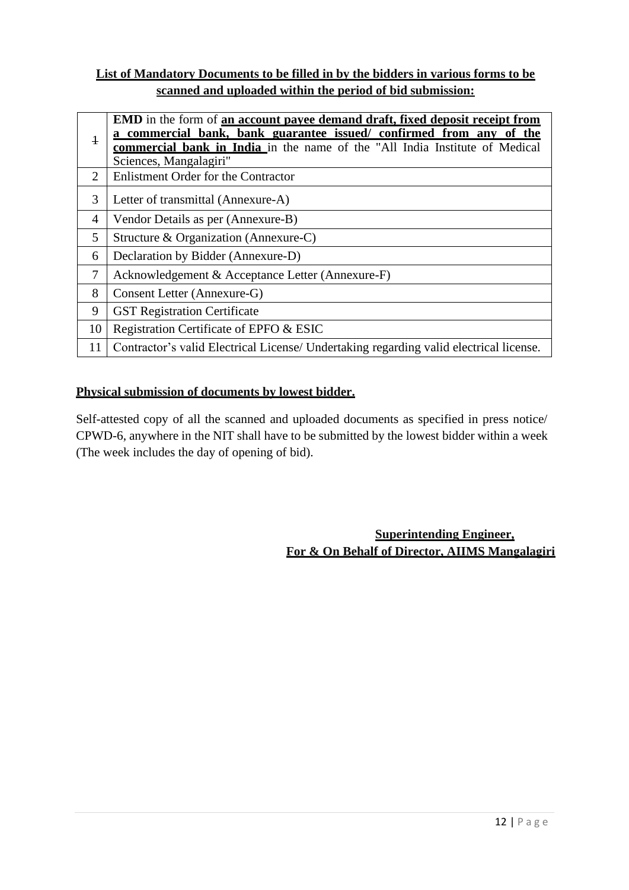#### **List of Mandatory Documents to be filled in by the bidders in various forms to be scanned and uploaded within the period of bid submission:**

| $\ddagger$ | <b>EMD</b> in the form of <b>an account payee demand draft, fixed deposit receipt from</b><br>a commercial bank, bank guarantee issued/ confirmed from any of the<br><b>commercial bank in India</b> in the name of the "All India Institute of Medical<br>Sciences, Mangalagiri" |
|------------|-----------------------------------------------------------------------------------------------------------------------------------------------------------------------------------------------------------------------------------------------------------------------------------|
| 2          | <b>Enlistment Order for the Contractor</b>                                                                                                                                                                                                                                        |
| 3          | Letter of transmittal (Annexure-A)                                                                                                                                                                                                                                                |
| 4          | Vendor Details as per (Annexure-B)                                                                                                                                                                                                                                                |
| 5          | Structure & Organization (Annexure-C)                                                                                                                                                                                                                                             |
| 6          | Declaration by Bidder (Annexure-D)                                                                                                                                                                                                                                                |
| 7          | Acknowledgement & Acceptance Letter (Annexure-F)                                                                                                                                                                                                                                  |
| 8          | Consent Letter (Annexure-G)                                                                                                                                                                                                                                                       |
| 9          | <b>GST Registration Certificate</b>                                                                                                                                                                                                                                               |
| 10         | Registration Certificate of EPFO & ESIC                                                                                                                                                                                                                                           |
| 11         | Contractor's valid Electrical License/ Undertaking regarding valid electrical license.                                                                                                                                                                                            |

#### **Physical submission of documents by lowest bidder.**

Self-attested copy of all the scanned and uploaded documents as specified in press notice/ CPWD-6, anywhere in the NIT shall have to be submitted by the lowest bidder within a week (The week includes the day of opening of bid).

> **Superintending Engineer, For & On Behalf of Director, AIIMS Mangalagiri**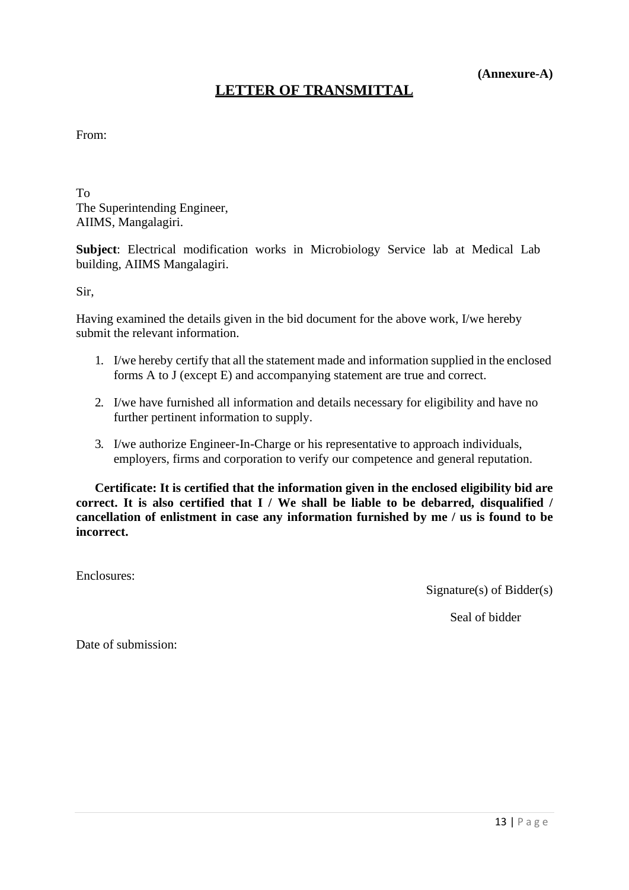#### **(Annexure-A)**

## **LETTER OF TRANSMITTAL**

#### From:

To The Superintending Engineer, AIIMS, Mangalagiri.

**Subject**: Electrical modification works in Microbiology Service lab at Medical Lab building, AIIMS Mangalagiri.

Sir,

Having examined the details given in the bid document for the above work, I/we hereby submit the relevant information.

- 1. I/we hereby certify that all the statement made and information supplied in the enclosed forms A to J (except E) and accompanying statement are true and correct.
- 2. I/we have furnished all information and details necessary for eligibility and have no further pertinent information to supply.
- 3. I/we authorize Engineer-In-Charge or his representative to approach individuals, employers, firms and corporation to verify our competence and general reputation.

**Certificate: It is certified that the information given in the enclosed eligibility bid are correct. It is also certified that I / We shall be liable to be debarred, disqualified / cancellation of enlistment in case any information furnished by me / us is found to be incorrect.**

Enclosures:

Signature(s) of Bidder(s)

Seal of bidder

Date of submission: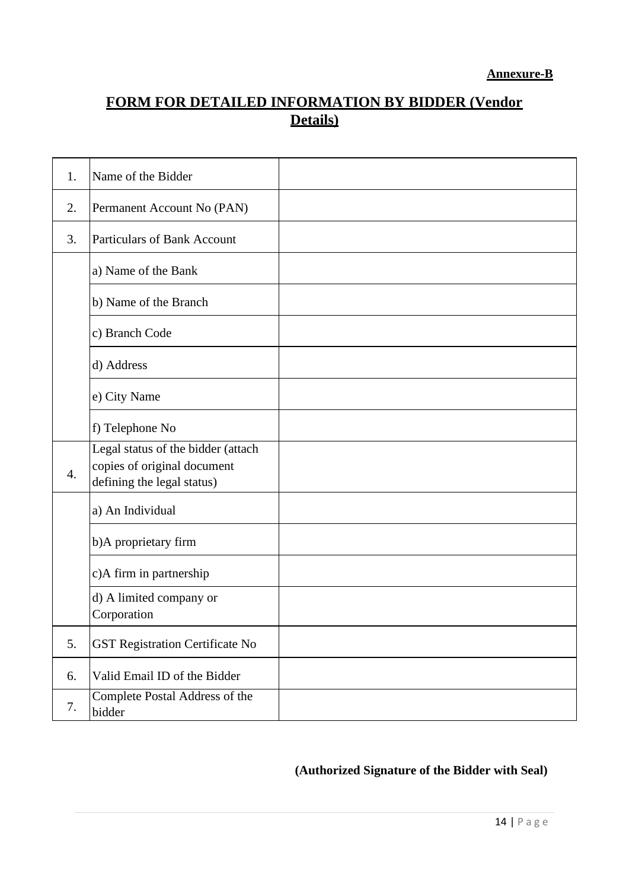# **FORM FOR DETAILED INFORMATION BY BIDDER (Vendor Details)**

| 1.               | Name of the Bidder                                                                              |  |
|------------------|-------------------------------------------------------------------------------------------------|--|
| 2.               | Permanent Account No (PAN)                                                                      |  |
| 3.               | <b>Particulars of Bank Account</b>                                                              |  |
|                  | a) Name of the Bank                                                                             |  |
|                  | b) Name of the Branch                                                                           |  |
|                  | c) Branch Code                                                                                  |  |
|                  | d) Address                                                                                      |  |
|                  | e) City Name                                                                                    |  |
|                  | f) Telephone No                                                                                 |  |
| $\overline{4}$ . | Legal status of the bidder (attach<br>copies of original document<br>defining the legal status) |  |
|                  | a) An Individual                                                                                |  |
|                  | b)A proprietary firm                                                                            |  |
|                  | c)A firm in partnership                                                                         |  |
|                  | d) A limited company or<br>Corporation                                                          |  |
| 5.               | <b>GST Registration Certificate No</b>                                                          |  |
| 6.               | Valid Email ID of the Bidder                                                                    |  |
| 7.               | Complete Postal Address of the<br>bidder                                                        |  |

# **(Authorized Signature of the Bidder with Seal)**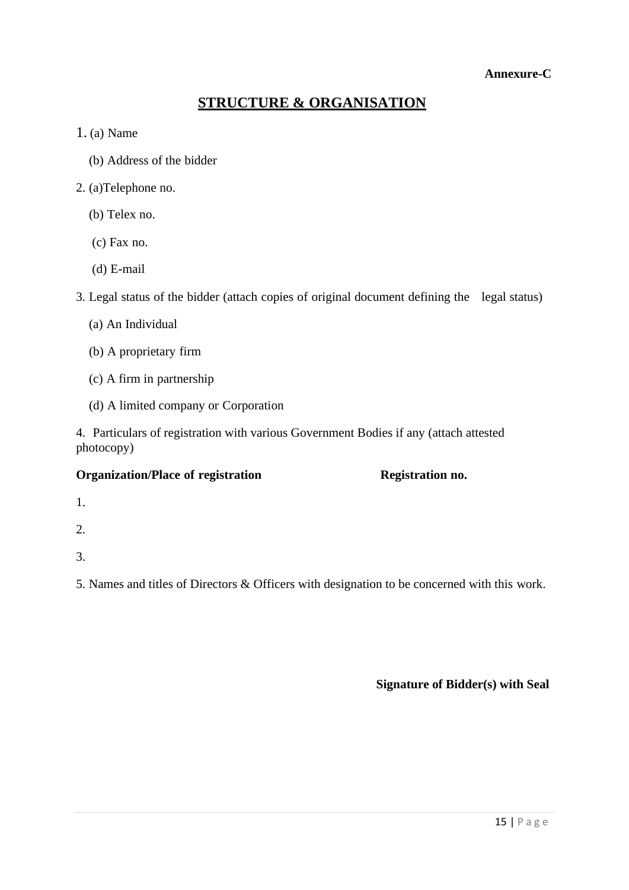#### **Annexure-C**

# **STRUCTURE & ORGANISATION**

#### 1. (a) Name

- (b) Address of the bidder
- 2. (a)Telephone no.
	- (b) Telex no.
	- (c) Fax no.
	- (d) E-mail

3. Legal status of the bidder (attach copies of original document defining the legal status)

- (a) An Individual
- (b) A proprietary firm
- (c) A firm in partnership
- (d) A limited company or Corporation

4. Particulars of registration with various Government Bodies if any (attach attested photocopy)

#### **Organization/Place of registration Registration no.**

- 1.
- 2.
- 3.

5. Names and titles of Directors & Officers with designation to be concerned with this work.

**Signature of Bidder(s) with Seal**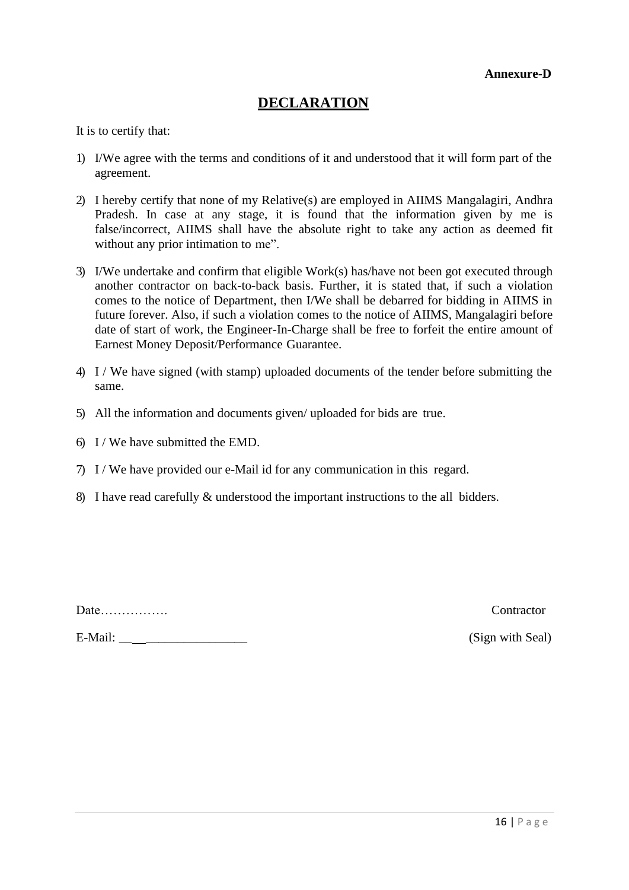# **DECLARATION**

It is to certify that:

- 1) I/We agree with the terms and conditions of it and understood that it will form part of the agreement.
- 2) I hereby certify that none of my Relative(s) are employed in AIIMS Mangalagiri, Andhra Pradesh. In case at any stage, it is found that the information given by me is false/incorrect, AIIMS shall have the absolute right to take any action as deemed fit without any prior intimation to me".
- 3) I/We undertake and confirm that eligible Work(s) has/have not been got executed through another contractor on back-to-back basis. Further, it is stated that, if such a violation comes to the notice of Department, then I/We shall be debarred for bidding in AIIMS in future forever. Also, if such a violation comes to the notice of AIIMS, Mangalagiri before date of start of work, the Engineer-In-Charge shall be free to forfeit the entire amount of Earnest Money Deposit/Performance Guarantee.
- 4) I / We have signed (with stamp) uploaded documents of the tender before submitting the same.
- 5) All the information and documents given/ uploaded for bids are true.
- 6) I / We have submitted the EMD.
- 7) I / We have provided our e-Mail id for any communication in this regard.
- 8) I have read carefully & understood the important instructions to the all bidders.

Date……………. Contractor

E-Mail: \_\_ \_\_\_\_\_\_\_\_\_\_\_\_\_\_\_\_ (Sign with Seal)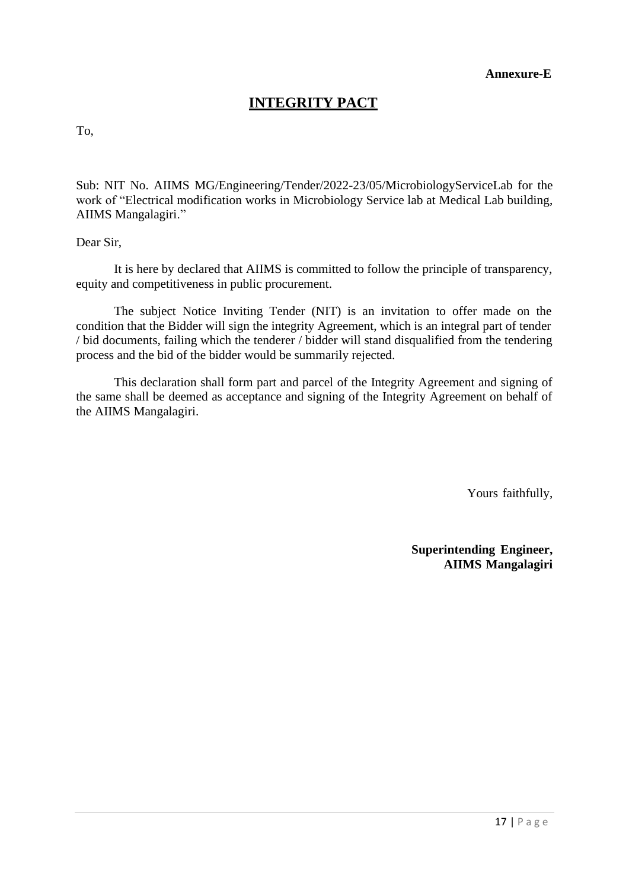# **INTEGRITY PACT**

To,

Sub: NIT No. AIIMS MG/Engineering/Tender/2022-23/05/MicrobiologyServiceLab for the work of "Electrical modification works in Microbiology Service lab at Medical Lab building, AIIMS Mangalagiri."

Dear Sir,

It is here by declared that AIIMS is committed to follow the principle of transparency, equity and competitiveness in public procurement.

The subject Notice Inviting Tender (NIT) is an invitation to offer made on the condition that the Bidder will sign the integrity Agreement, which is an integral part of tender / bid documents, failing which the tenderer / bidder will stand disqualified from the tendering process and the bid of the bidder would be summarily rejected.

This declaration shall form part and parcel of the Integrity Agreement and signing of the same shall be deemed as acceptance and signing of the Integrity Agreement on behalf of the AIIMS Mangalagiri.

Yours faithfully,

**Superintending Engineer, AIIMS Mangalagiri**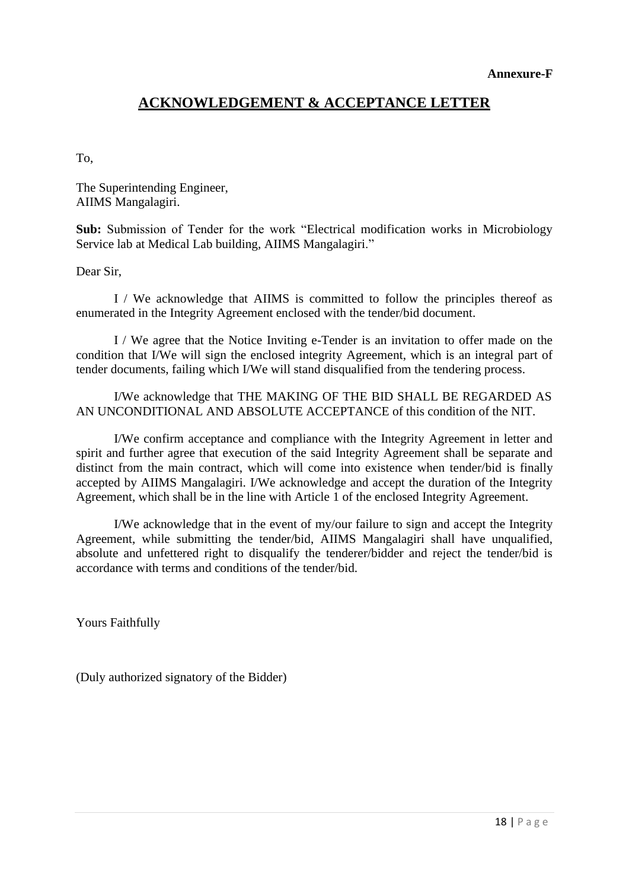## **ACKNOWLEDGEMENT & ACCEPTANCE LETTER**

To,

The Superintending Engineer, AIIMS Mangalagiri.

Sub: Submission of Tender for the work "Electrical modification works in Microbiology Service lab at Medical Lab building, AIIMS Mangalagiri."

Dear Sir,

I / We acknowledge that AIIMS is committed to follow the principles thereof as enumerated in the Integrity Agreement enclosed with the tender/bid document.

I / We agree that the Notice Inviting e-Tender is an invitation to offer made on the condition that I/We will sign the enclosed integrity Agreement, which is an integral part of tender documents, failing which I/We will stand disqualified from the tendering process.

I/We acknowledge that THE MAKING OF THE BID SHALL BE REGARDED AS AN UNCONDITIONAL AND ABSOLUTE ACCEPTANCE of this condition of the NIT.

I/We confirm acceptance and compliance with the Integrity Agreement in letter and spirit and further agree that execution of the said Integrity Agreement shall be separate and distinct from the main contract, which will come into existence when tender/bid is finally accepted by AIIMS Mangalagiri. I/We acknowledge and accept the duration of the Integrity Agreement, which shall be in the line with Article 1 of the enclosed Integrity Agreement.

I/We acknowledge that in the event of my/our failure to sign and accept the Integrity Agreement, while submitting the tender/bid, AIIMS Mangalagiri shall have unqualified, absolute and unfettered right to disqualify the tenderer/bidder and reject the tender/bid is accordance with terms and conditions of the tender/bid.

Yours Faithfully

(Duly authorized signatory of the Bidder)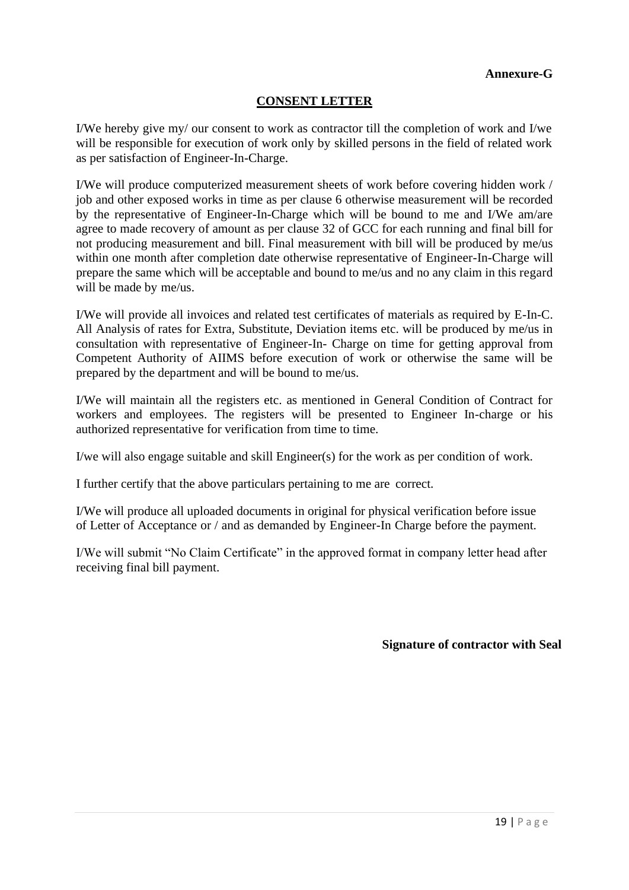#### **CONSENT LETTER**

I/We hereby give my/ our consent to work as contractor till the completion of work and I/we will be responsible for execution of work only by skilled persons in the field of related work as per satisfaction of Engineer-In-Charge.

I/We will produce computerized measurement sheets of work before covering hidden work / job and other exposed works in time as per clause 6 otherwise measurement will be recorded by the representative of Engineer-In-Charge which will be bound to me and I/We am/are agree to made recovery of amount as per clause 32 of GCC for each running and final bill for not producing measurement and bill. Final measurement with bill will be produced by me/us within one month after completion date otherwise representative of Engineer-In-Charge will prepare the same which will be acceptable and bound to me/us and no any claim in this regard will be made by me/us.

I/We will provide all invoices and related test certificates of materials as required by E-In-C. All Analysis of rates for Extra, Substitute, Deviation items etc. will be produced by me/us in consultation with representative of Engineer-In- Charge on time for getting approval from Competent Authority of AIIMS before execution of work or otherwise the same will be prepared by the department and will be bound to me/us.

I/We will maintain all the registers etc. as mentioned in General Condition of Contract for workers and employees. The registers will be presented to Engineer In-charge or his authorized representative for verification from time to time.

I/we will also engage suitable and skill Engineer(s) for the work as per condition of work.

I further certify that the above particulars pertaining to me are correct.

I/We will produce all uploaded documents in original for physical verification before issue of Letter of Acceptance or / and as demanded by Engineer-In Charge before the payment.

I/We will submit "No Claim Certificate" in the approved format in company letter head after receiving final bill payment.

**Signature of contractor with Seal**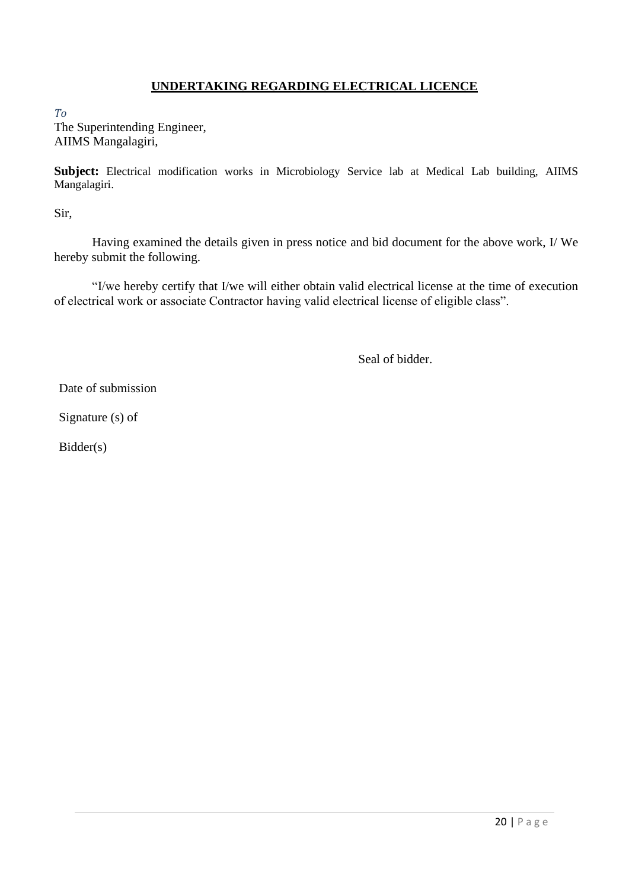#### **UNDERTAKING REGARDING ELECTRICAL LICENCE**

*To* The Superintending Engineer, AIIMS Mangalagiri,

**Subject:** Electrical modification works in Microbiology Service lab at Medical Lab building, AIIMS Mangalagiri.

Sir,

Having examined the details given in press notice and bid document for the above work, I/ We hereby submit the following.

"I/we hereby certify that I/we will either obtain valid electrical license at the time of execution of electrical work or associate Contractor having valid electrical license of eligible class".

Seal of bidder.

Date of submission

Signature (s) of

Bidder(s)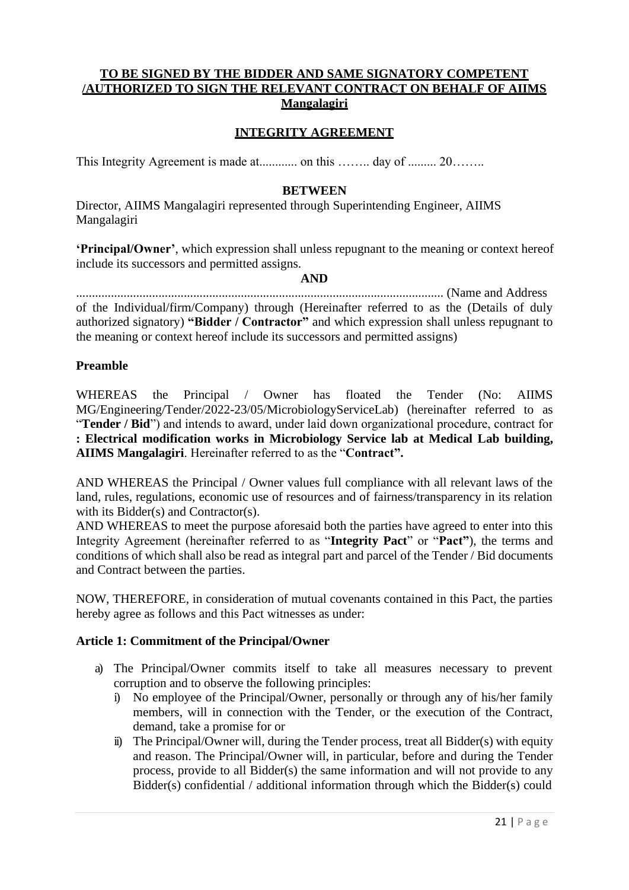#### **TO BE SIGNED BY THE BIDDER AND SAME SIGNATORY COMPETENT /AUTHORIZED TO SIGN THE RELEVANT CONTRACT ON BEHALF OF AIIMS Mangalagiri**

#### **INTEGRITY AGREEMENT**

This Integrity Agreement is made at............ on this …….. day of ......... 20……..

#### **BETWEEN**

Director, AIIMS Mangalagiri represented through Superintending Engineer, AIIMS Mangalagiri

**'Principal/Owner'**, which expression shall unless repugnant to the meaning or context hereof include its successors and permitted assigns.

#### **AND**

.................................................................................................................... (Name and Address of the Individual/firm/Company) through (Hereinafter referred to as the (Details of duly authorized signatory) **"Bidder / Contractor"** and which expression shall unless repugnant to the meaning or context hereof include its successors and permitted assigns)

#### **Preamble**

WHEREAS the Principal / Owner has floated the Tender (No: AIIMS MG/Engineering/Tender/2022-23/05/MicrobiologyServiceLab) (hereinafter referred to as "**Tender / Bid**") and intends to award, under laid down organizational procedure, contract for **: Electrical modification works in Microbiology Service lab at Medical Lab building,** 

**AIIMS Mangalagiri**. Hereinafter referred to as the "**Contract".**

AND WHEREAS the Principal / Owner values full compliance with all relevant laws of the land, rules, regulations, economic use of resources and of fairness/transparency in its relation with its Bidder(s) and Contractor(s).

AND WHEREAS to meet the purpose aforesaid both the parties have agreed to enter into this Integrity Agreement (hereinafter referred to as "**Integrity Pact**" or "**Pact"**), the terms and conditions of which shall also be read as integral part and parcel of the Tender / Bid documents and Contract between the parties.

NOW, THEREFORE, in consideration of mutual covenants contained in this Pact, the parties hereby agree as follows and this Pact witnesses as under:

#### **Article 1: Commitment of the Principal/Owner**

- a) The Principal/Owner commits itself to take all measures necessary to prevent corruption and to observe the following principles:
	- i) No employee of the Principal/Owner, personally or through any of his/her family members, will in connection with the Tender, or the execution of the Contract, demand, take a promise for or
	- ii) The Principal/Owner will, during the Tender process, treat all Bidder(s) with equity and reason. The Principal/Owner will, in particular, before and during the Tender process, provide to all Bidder(s) the same information and will not provide to any Bidder(s) confidential / additional information through which the Bidder(s) could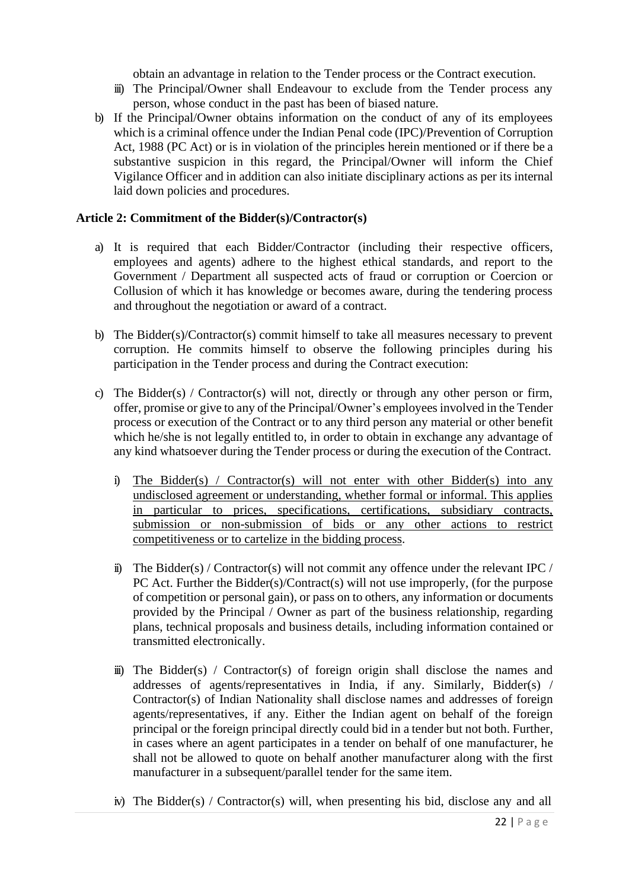obtain an advantage in relation to the Tender process or the Contract execution.

- iii) The Principal/Owner shall Endeavour to exclude from the Tender process any person, whose conduct in the past has been of biased nature.
- b) If the Principal/Owner obtains information on the conduct of any of its employees which is a criminal offence under the Indian Penal code (IPC)/Prevention of Corruption Act, 1988 (PC Act) or is in violation of the principles herein mentioned or if there be a substantive suspicion in this regard, the Principal/Owner will inform the Chief Vigilance Officer and in addition can also initiate disciplinary actions as per its internal laid down policies and procedures.

#### **Article 2: Commitment of the Bidder(s)/Contractor(s)**

- a) It is required that each Bidder/Contractor (including their respective officers, employees and agents) adhere to the highest ethical standards, and report to the Government / Department all suspected acts of fraud or corruption or Coercion or Collusion of which it has knowledge or becomes aware, during the tendering process and throughout the negotiation or award of a contract.
- b) The Bidder(s)/Contractor(s) commit himself to take all measures necessary to prevent corruption. He commits himself to observe the following principles during his participation in the Tender process and during the Contract execution:
- c) The Bidder(s) / Contractor(s) will not, directly or through any other person or firm, offer, promise or give to any of the Principal/Owner's employeesinvolved in the Tender process or execution of the Contract or to any third person any material or other benefit which he/she is not legally entitled to, in order to obtain in exchange any advantage of any kind whatsoever during the Tender process or during the execution of the Contract.
	- i) The Bidder(s) / Contractor(s) will not enter with other Bidder(s) into any undisclosed agreement or understanding, whether formal or informal. This applies in particular to prices, specifications, certifications, subsidiary contracts, submission or non-submission of bids or any other actions to restrict competitiveness or to cartelize in the bidding process.
	- ii) The Bidder(s) / Contractor(s) will not commit any offence under the relevant IPC / PC Act. Further the Bidder(s)/Contract(s) will not use improperly, (for the purpose of competition or personal gain), or pass on to others, any information or documents provided by the Principal / Owner as part of the business relationship, regarding plans, technical proposals and business details, including information contained or transmitted electronically.
	- $\ddot{m}$ ) The Bidder(s) / Contractor(s) of foreign origin shall disclose the names and addresses of agents/representatives in India, if any. Similarly, Bidder(s) / Contractor(s) of Indian Nationality shall disclose names and addresses of foreign agents/representatives, if any. Either the Indian agent on behalf of the foreign principal or the foreign principal directly could bid in a tender but not both. Further, in cases where an agent participates in a tender on behalf of one manufacturer, he shall not be allowed to quote on behalf another manufacturer along with the first manufacturer in a subsequent/parallel tender for the same item.
	- iv) The Bidder(s) / Contractor(s) will, when presenting his bid, disclose any and all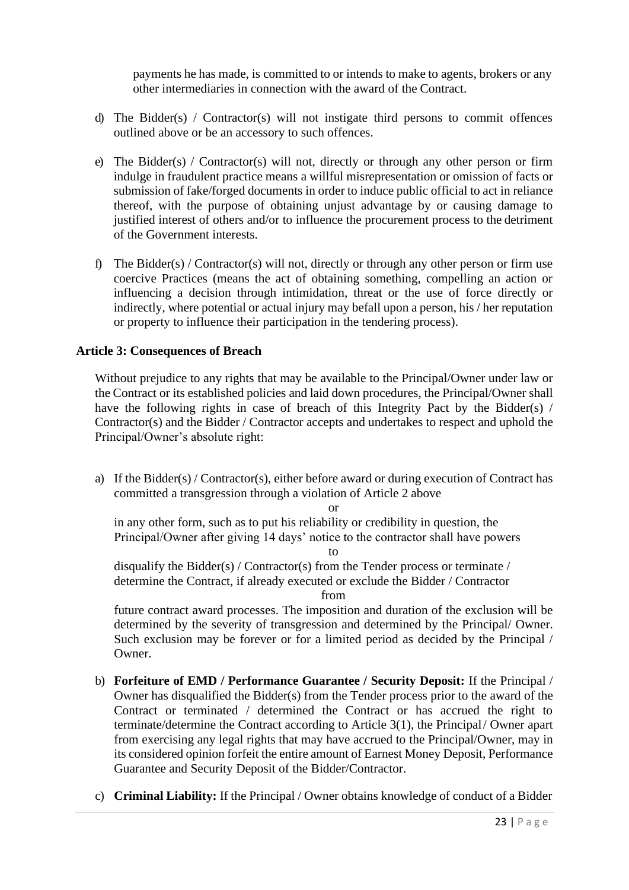payments he has made, is committed to or intends to make to agents, brokers or any other intermediaries in connection with the award of the Contract.

- d) The Bidder(s) / Contractor(s) will not instigate third persons to commit offences outlined above or be an accessory to such offences.
- e) The Bidder(s) / Contractor(s) will not, directly or through any other person or firm indulge in fraudulent practice means a willful misrepresentation or omission of facts or submission of fake/forged documents in order to induce public official to act in reliance thereof, with the purpose of obtaining unjust advantage by or causing damage to justified interest of others and/or to influence the procurement process to the detriment of the Government interests.
- f) The Bidder(s) / Contractor(s) will not, directly or through any other person or firm use coercive Practices (means the act of obtaining something, compelling an action or influencing a decision through intimidation, threat or the use of force directly or indirectly, where potential or actual injury may befall upon a person, his / her reputation or property to influence their participation in the tendering process).

#### **Article 3: Consequences of Breach**

Without prejudice to any rights that may be available to the Principal/Owner under law or the Contract or its established policies and laid down procedures, the Principal/Owner shall have the following rights in case of breach of this Integrity Pact by the Bidder(s) / Contractor(s) and the Bidder / Contractor accepts and undertakes to respect and uphold the Principal/Owner's absolute right:

a) If the Bidder(s) / Contractor(s), either before award or during execution of Contract has committed a transgression through a violation of Article 2 above

or

 in any other form, such as to put his reliability or credibility in question, the Principal/Owner after giving 14 days' notice to the contractor shall have powers

to

disqualify the Bidder(s) / Contractor(s) from the Tender process or terminate / determine the Contract, if already executed or exclude the Bidder / Contractor

from

future contract award processes. The imposition and duration of the exclusion will be determined by the severity of transgression and determined by the Principal/ Owner. Such exclusion may be forever or for a limited period as decided by the Principal / Owner.

- b) **Forfeiture of EMD / Performance Guarantee / Security Deposit:** If the Principal / Owner has disqualified the Bidder(s) from the Tender process prior to the award of the Contract or terminated / determined the Contract or has accrued the right to terminate/determine the Contract according to Article 3(1), the Principal/ Owner apart from exercising any legal rights that may have accrued to the Principal/Owner, may in its considered opinion forfeit the entire amount of Earnest Money Deposit, Performance Guarantee and Security Deposit of the Bidder/Contractor.
- c) **Criminal Liability:** If the Principal / Owner obtains knowledge of conduct of a Bidder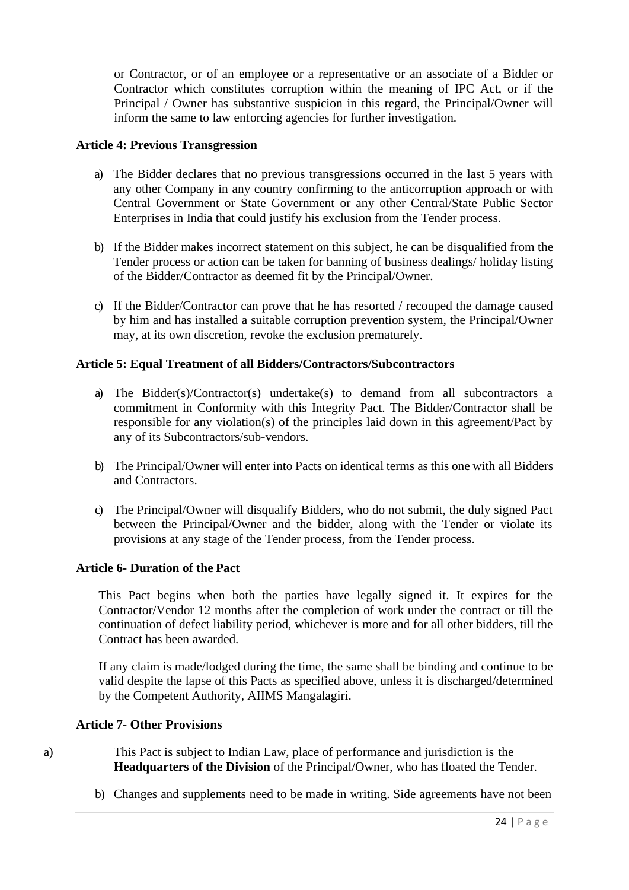or Contractor, or of an employee or a representative or an associate of a Bidder or Contractor which constitutes corruption within the meaning of IPC Act, or if the Principal / Owner has substantive suspicion in this regard, the Principal/Owner will inform the same to law enforcing agencies for further investigation.

#### **Article 4: Previous Transgression**

- a) The Bidder declares that no previous transgressions occurred in the last 5 years with any other Company in any country confirming to the anticorruption approach or with Central Government or State Government or any other Central/State Public Sector Enterprises in India that could justify his exclusion from the Tender process.
- b) If the Bidder makes incorrect statement on this subject, he can be disqualified from the Tender process or action can be taken for banning of business dealings/ holiday listing of the Bidder/Contractor as deemed fit by the Principal/Owner.
- c) If the Bidder/Contractor can prove that he has resorted / recouped the damage caused by him and has installed a suitable corruption prevention system, the Principal/Owner may, at its own discretion, revoke the exclusion prematurely.

#### **Article 5: Equal Treatment of all Bidders/Contractors/Subcontractors**

- a) The Bidder(s)/Contractor(s) undertake(s) to demand from all subcontractors a commitment in Conformity with this Integrity Pact. The Bidder/Contractor shall be responsible for any violation(s) of the principles laid down in this agreement/Pact by any of its Subcontractors/sub-vendors.
- b) The Principal/Owner will enter into Pacts on identical terms as this one with all Bidders and Contractors.
- c) The Principal/Owner will disqualify Bidders, who do not submit, the duly signed Pact between the Principal/Owner and the bidder, along with the Tender or violate its provisions at any stage of the Tender process, from the Tender process.

#### **Article 6- Duration of the Pact**

This Pact begins when both the parties have legally signed it. It expires for the Contractor/Vendor 12 months after the completion of work under the contract or till the continuation of defect liability period, whichever is more and for all other bidders, till the Contract has been awarded.

If any claim is made/lodged during the time, the same shall be binding and continue to be valid despite the lapse of this Pacts as specified above, unless it is discharged/determined by the Competent Authority, AIIMS Mangalagiri.

#### **Article 7- Other Provisions**

- a) This Pact is subject to Indian Law, place of performance and jurisdiction is the **Headquarters of the Division** of the Principal/Owner, who has floated the Tender.
	- b) Changes and supplements need to be made in writing. Side agreements have not been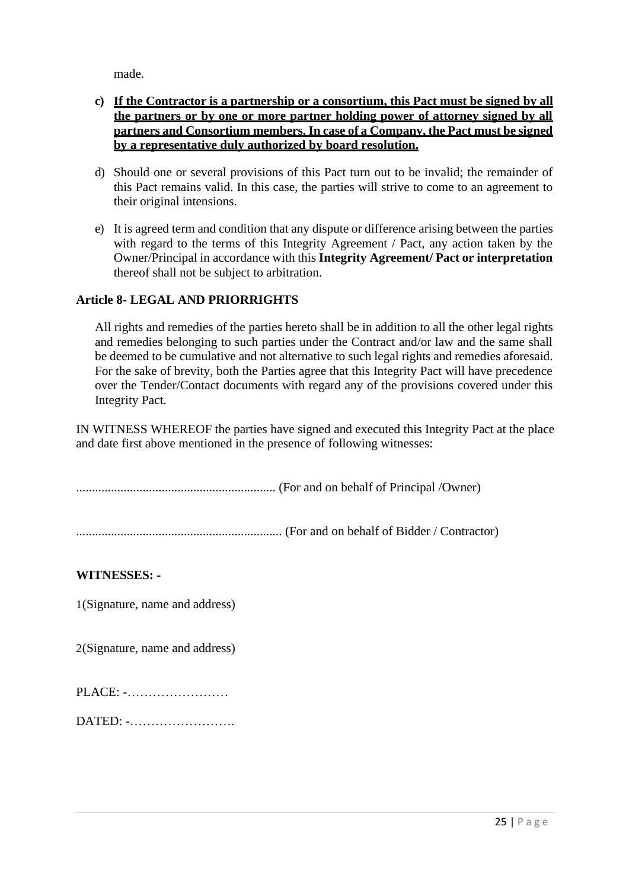made.

#### **c) If the Contractor is a partnership or a consortium, this Pact must be signed by all the partners or by one or more partner holding power of attorney signed by all partners and Consortium members. In case of a Company, the Pact must be signed by a representative duly authorized by board resolution.**

- d) Should one or several provisions of this Pact turn out to be invalid; the remainder of this Pact remains valid. In this case, the parties will strive to come to an agreement to their original intensions.
- e) It is agreed term and condition that any dispute or difference arising between the parties with regard to the terms of this Integrity Agreement / Pact, any action taken by the Owner/Principal in accordance with this **Integrity Agreement/ Pact or interpretation**  thereof shall not be subject to arbitration.

#### **Article 8- LEGAL AND PRIORRIGHTS**

All rights and remedies of the parties hereto shall be in addition to all the other legal rights and remedies belonging to such parties under the Contract and/or law and the same shall be deemed to be cumulative and not alternative to such legal rights and remedies aforesaid. For the sake of brevity, both the Parties agree that this Integrity Pact will have precedence over the Tender/Contact documents with regard any of the provisions covered under this Integrity Pact.

IN WITNESS WHEREOF the parties have signed and executed this Integrity Pact at the place and date first above mentioned in the presence of following witnesses:

............................................................... (For and on behalf of Principal /Owner)

................................................................. (For and on behalf of Bidder / Contractor)

**WITNESSES: -**

1(Signature, name and address)

2(Signature, name and address)

PLACE: -……………………

DATED: -…………………….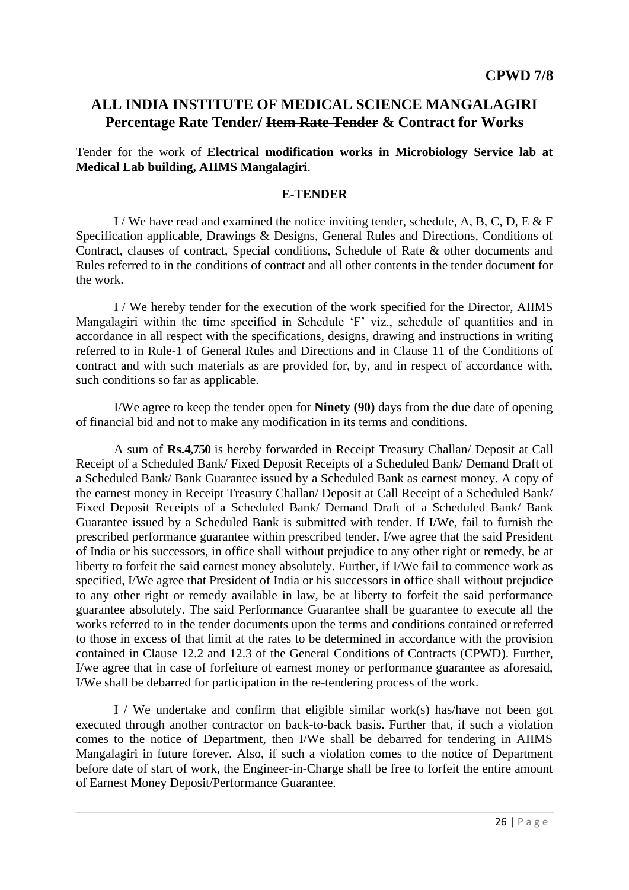# **ALL INDIA INSTITUTE OF MEDICAL SCIENCE MANGALAGIRI Percentage Rate Tender/ Item Rate Tender & Contract for Works**

Tender for the work of **Electrical modification works in Microbiology Service lab at Medical Lab building, AIIMS Mangalagiri**.

#### **E-TENDER**

I / We have read and examined the notice inviting tender, schedule, A, B, C, D, E & F Specification applicable, Drawings & Designs, General Rules and Directions, Conditions of Contract, clauses of contract, Special conditions, Schedule of Rate & other documents and Rules referred to in the conditions of contract and all other contents in the tender document for the work.

I / We hereby tender for the execution of the work specified for the Director, AIIMS Mangalagiri within the time specified in Schedule 'F' viz., schedule of quantities and in accordance in all respect with the specifications, designs, drawing and instructions in writing referred to in Rule-1 of General Rules and Directions and in Clause 11 of the Conditions of contract and with such materials as are provided for, by, and in respect of accordance with, such conditions so far as applicable.

I/We agree to keep the tender open for **Ninety (90)** days from the due date of opening of financial bid and not to make any modification in its terms and conditions.

A sum of **Rs.4,750** is hereby forwarded in Receipt Treasury Challan/ Deposit at Call Receipt of a Scheduled Bank/ Fixed Deposit Receipts of a Scheduled Bank/ Demand Draft of a Scheduled Bank/ Bank Guarantee issued by a Scheduled Bank as earnest money. A copy of the earnest money in Receipt Treasury Challan/ Deposit at Call Receipt of a Scheduled Bank/ Fixed Deposit Receipts of a Scheduled Bank/ Demand Draft of a Scheduled Bank/ Bank Guarantee issued by a Scheduled Bank is submitted with tender. If I/We, fail to furnish the prescribed performance guarantee within prescribed tender, I/we agree that the said President of India or his successors, in office shall without prejudice to any other right or remedy, be at liberty to forfeit the said earnest money absolutely. Further, if I/We fail to commence work as specified, I/We agree that President of India or his successors in office shall without prejudice to any other right or remedy available in law, be at liberty to forfeit the said performance guarantee absolutely. The said Performance Guarantee shall be guarantee to execute all the works referred to in the tender documents upon the terms and conditions contained orreferred to those in excess of that limit at the rates to be determined in accordance with the provision contained in Clause 12.2 and 12.3 of the General Conditions of Contracts (CPWD). Further, I/we agree that in case of forfeiture of earnest money or performance guarantee as aforesaid, I/We shall be debarred for participation in the re-tendering process of the work.

I / We undertake and confirm that eligible similar work(s) has/have not been got executed through another contractor on back-to-back basis. Further that, if such a violation comes to the notice of Department, then I/We shall be debarred for tendering in AIIMS Mangalagiri in future forever. Also, if such a violation comes to the notice of Department before date of start of work, the Engineer-in-Charge shall be free to forfeit the entire amount of Earnest Money Deposit/Performance Guarantee.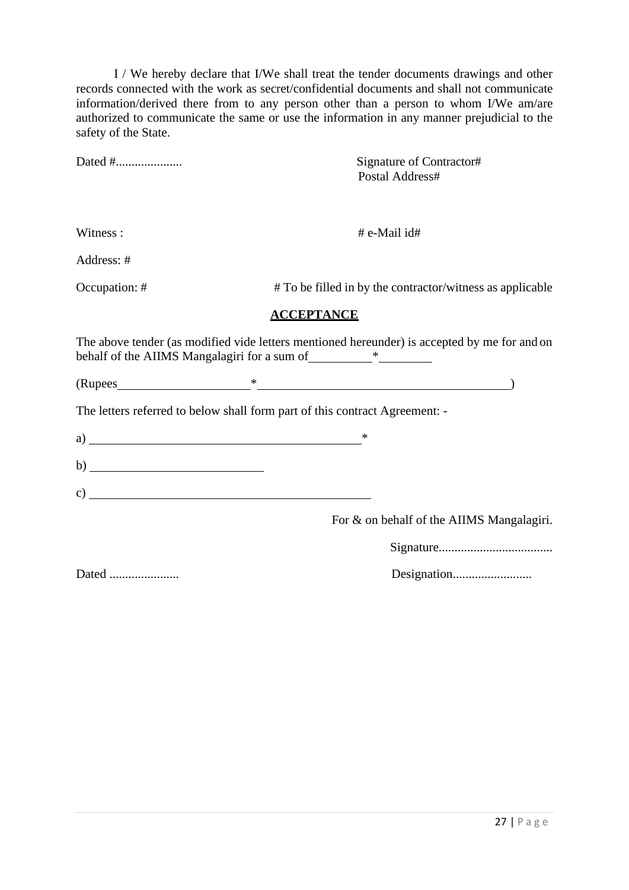I / We hereby declare that I/We shall treat the tender documents drawings and other records connected with the work as secret/confidential documents and shall not communicate information/derived there from to any person other than a person to whom I/We am/are authorized to communicate the same or use the information in any manner prejudicial to the safety of the State.

|                                                                             | Signature of Contractor#<br>Postal Address#                                                  |
|-----------------------------------------------------------------------------|----------------------------------------------------------------------------------------------|
|                                                                             |                                                                                              |
|                                                                             |                                                                                              |
| Witness:                                                                    | # e-Mail id#                                                                                 |
| Address: #                                                                  |                                                                                              |
| Occupation: #                                                               | # To be filled in by the contractor/witness as applicable                                    |
|                                                                             | <b>ACCEPTANCE</b>                                                                            |
|                                                                             | The above tender (as modified vide letters mentioned hereunder) is accepted by me for and on |
|                                                                             | $(Rupees$ (Rupees )                                                                          |
| The letters referred to below shall form part of this contract Agreement: - |                                                                                              |
|                                                                             |                                                                                              |
|                                                                             |                                                                                              |
|                                                                             |                                                                                              |
|                                                                             | For & on behalf of the AIIMS Mangalagiri.                                                    |
|                                                                             |                                                                                              |
| Dated                                                                       |                                                                                              |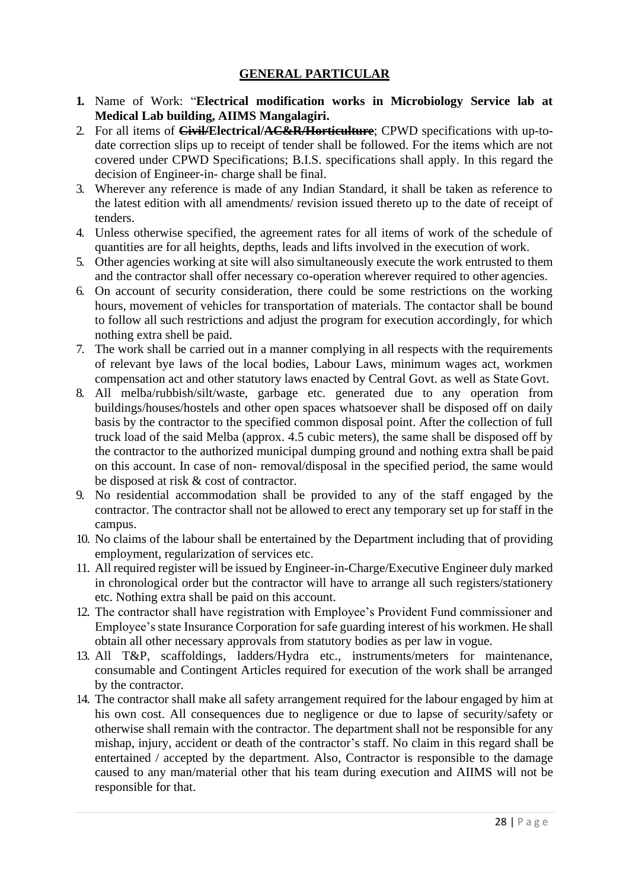#### **GENERAL PARTICULAR**

- **1.** Name of Work: "**Electrical modification works in Microbiology Service lab at Medical Lab building, AIIMS Mangalagiri.**
- 2. For all items of **Civil/Electrical/AC&R/Horticulture**; CPWD specifications with up-todate correction slips up to receipt of tender shall be followed. For the items which are not covered under CPWD Specifications; B.I.S. specifications shall apply. In this regard the decision of Engineer-in- charge shall be final.
- 3. Wherever any reference is made of any Indian Standard, it shall be taken as reference to the latest edition with all amendments/ revision issued thereto up to the date of receipt of tenders.
- 4. Unless otherwise specified, the agreement rates for all items of work of the schedule of quantities are for all heights, depths, leads and lifts involved in the execution of work.
- 5. Other agencies working at site will also simultaneously execute the work entrusted to them and the contractor shall offer necessary co-operation wherever required to other agencies.
- 6. On account of security consideration, there could be some restrictions on the working hours, movement of vehicles for transportation of materials. The contactor shall be bound to follow all such restrictions and adjust the program for execution accordingly, for which nothing extra shell be paid.
- 7. The work shall be carried out in a manner complying in all respects with the requirements of relevant bye laws of the local bodies, Labour Laws, minimum wages act, workmen compensation act and other statutory laws enacted by Central Govt. as well as State Govt.
- 8. All melba/rubbish/silt/waste, garbage etc. generated due to any operation from buildings/houses/hostels and other open spaces whatsoever shall be disposed off on daily basis by the contractor to the specified common disposal point. After the collection of full truck load of the said Melba (approx. 4.5 cubic meters), the same shall be disposed off by the contractor to the authorized municipal dumping ground and nothing extra shall be paid on this account. In case of non- removal/disposal in the specified period, the same would be disposed at risk & cost of contractor.
- 9. No residential accommodation shall be provided to any of the staff engaged by the contractor. The contractor shall not be allowed to erect any temporary set up for staff in the campus.
- 10. No claims of the labour shall be entertained by the Department including that of providing employment, regularization of services etc.
- 11. All required register will be issued by Engineer-in-Charge/Executive Engineer duly marked in chronological order but the contractor will have to arrange all such registers/stationery etc. Nothing extra shall be paid on this account.
- 12. The contractor shall have registration with Employee's Provident Fund commissioner and Employee's state Insurance Corporation for safe guarding interest of his workmen. He shall obtain all other necessary approvals from statutory bodies as per law in vogue.
- 13. All T&P, scaffoldings, ladders/Hydra etc., instruments/meters for maintenance, consumable and Contingent Articles required for execution of the work shall be arranged by the contractor.
- 14. The contractor shall make all safety arrangement required for the labour engaged by him at his own cost. All consequences due to negligence or due to lapse of security/safety or otherwise shall remain with the contractor. The department shall not be responsible for any mishap, injury, accident or death of the contractor's staff. No claim in this regard shall be entertained / accepted by the department. Also, Contractor is responsible to the damage caused to any man/material other that his team during execution and AIIMS will not be responsible for that.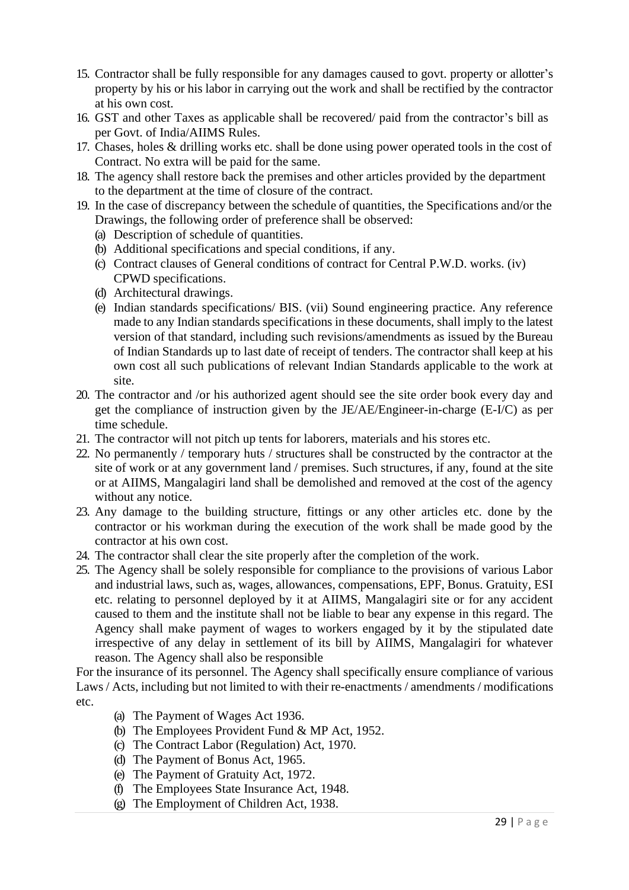- 15. Contractor shall be fully responsible for any damages caused to govt. property or allotter's property by his or his labor in carrying out the work and shall be rectified by the contractor at his own cost.
- 16. GST and other Taxes as applicable shall be recovered/ paid from the contractor's bill as per Govt. of India/AIIMS Rules.
- 17. Chases, holes & drilling works etc. shall be done using power operated tools in the cost of Contract. No extra will be paid for the same.
- 18. The agency shall restore back the premises and other articles provided by the department to the department at the time of closure of the contract.
- 19. In the case of discrepancy between the schedule of quantities, the Specifications and/or the Drawings, the following order of preference shall be observed:

(a) Description of schedule of quantities.

- (b) Additional specifications and special conditions, if any.
- (c) Contract clauses of General conditions of contract for Central P.W.D. works. (iv) CPWD specifications.
- (d) Architectural drawings.
- (e) Indian standards specifications/ BIS. (vii) Sound engineering practice. Any reference made to any Indian standards specifications in these documents, shall imply to the latest version of that standard, including such revisions/amendments as issued by the Bureau of Indian Standards up to last date of receipt of tenders. The contractor shall keep at his own cost all such publications of relevant Indian Standards applicable to the work at site.
- 20. The contractor and /or his authorized agent should see the site order book every day and get the compliance of instruction given by the JE/AE/Engineer-in-charge (E-I/C) as per time schedule.
- 21. The contractor will not pitch up tents for laborers, materials and his stores etc.
- 22. No permanently / temporary huts / structures shall be constructed by the contractor at the site of work or at any government land / premises. Such structures, if any, found at the site or at AIIMS, Mangalagiri land shall be demolished and removed at the cost of the agency without any notice.
- 23. Any damage to the building structure, fittings or any other articles etc. done by the contractor or his workman during the execution of the work shall be made good by the contractor at his own cost.
- 24. The contractor shall clear the site properly after the completion of the work.
- 25. The Agency shall be solely responsible for compliance to the provisions of various Labor and industrial laws, such as, wages, allowances, compensations, EPF, Bonus. Gratuity, ESI etc. relating to personnel deployed by it at AIIMS, Mangalagiri site or for any accident caused to them and the institute shall not be liable to bear any expense in this regard. The Agency shall make payment of wages to workers engaged by it by the stipulated date irrespective of any delay in settlement of its bill by AIIMS, Mangalagiri for whatever reason. The Agency shall also be responsible

For the insurance of its personnel. The Agency shall specifically ensure compliance of various Laws / Acts, including but not limited to with their re-enactments / amendments / modifications etc.

- (a) The Payment of Wages Act 1936.
- (b) The Employees Provident Fund & MP Act, 1952.
- (c) The Contract Labor (Regulation) Act, 1970.
- (d) The Payment of Bonus Act, 1965.
- (e) The Payment of Gratuity Act, 1972.
- (f) The Employees State Insurance Act, 1948.
- (g) The Employment of Children Act, 1938.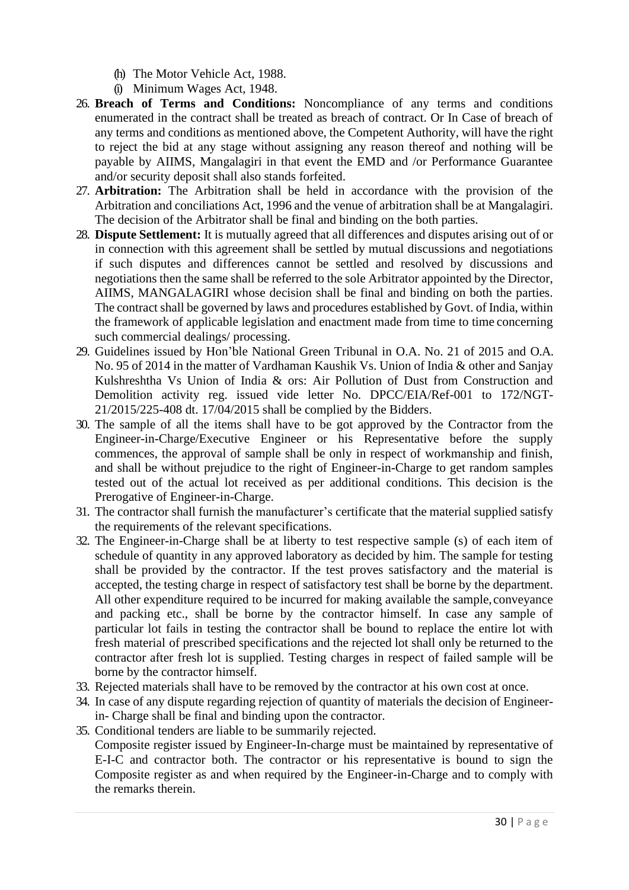- (h) The Motor Vehicle Act, 1988.
- (i) Minimum Wages Act, 1948.
- 26. **Breach of Terms and Conditions:** Noncompliance of any terms and conditions enumerated in the contract shall be treated as breach of contract. Or In Case of breach of any terms and conditions as mentioned above, the Competent Authority, will have the right to reject the bid at any stage without assigning any reason thereof and nothing will be payable by AIIMS, Mangalagiri in that event the EMD and /or Performance Guarantee and/or security deposit shall also stands forfeited.
- 27. **Arbitration:** The Arbitration shall be held in accordance with the provision of the Arbitration and conciliations Act, 1996 and the venue of arbitration shall be at Mangalagiri. The decision of the Arbitrator shall be final and binding on the both parties.
- 28. **Dispute Settlement:** It is mutually agreed that all differences and disputes arising out of or in connection with this agreement shall be settled by mutual discussions and negotiations if such disputes and differences cannot be settled and resolved by discussions and negotiations then the same shall be referred to the sole Arbitrator appointed by the Director, AIIMS, MANGALAGIRI whose decision shall be final and binding on both the parties. The contract shall be governed by laws and procedures established by Govt. of India, within the framework of applicable legislation and enactment made from time to time concerning such commercial dealings/ processing.
- 29. Guidelines issued by Hon'ble National Green Tribunal in O.A. No. 21 of 2015 and O.A. No. 95 of 2014 in the matter of Vardhaman Kaushik Vs. Union of India & other and Sanjay Kulshreshtha Vs Union of India & ors: Air Pollution of Dust from Construction and Demolition activity reg. issued vide letter No. DPCC/EIA/Ref-001 to 172/NGT-21/2015/225-408 dt. 17/04/2015 shall be complied by the Bidders.
- 30. The sample of all the items shall have to be got approved by the Contractor from the Engineer-in-Charge/Executive Engineer or his Representative before the supply commences, the approval of sample shall be only in respect of workmanship and finish, and shall be without prejudice to the right of Engineer-in-Charge to get random samples tested out of the actual lot received as per additional conditions. This decision is the Prerogative of Engineer-in-Charge.
- 31. The contractor shall furnish the manufacturer's certificate that the material supplied satisfy the requirements of the relevant specifications.
- 32. The Engineer-in-Charge shall be at liberty to test respective sample (s) of each item of schedule of quantity in any approved laboratory as decided by him. The sample for testing shall be provided by the contractor. If the test proves satisfactory and the material is accepted, the testing charge in respect of satisfactory test shall be borne by the department. All other expenditure required to be incurred for making available the sample, conveyance and packing etc., shall be borne by the contractor himself. In case any sample of particular lot fails in testing the contractor shall be bound to replace the entire lot with fresh material of prescribed specifications and the rejected lot shall only be returned to the contractor after fresh lot is supplied. Testing charges in respect of failed sample will be borne by the contractor himself.
- 33. Rejected materials shall have to be removed by the contractor at his own cost at once.
- 34. In case of any dispute regarding rejection of quantity of materials the decision of Engineerin- Charge shall be final and binding upon the contractor.
- 35. Conditional tenders are liable to be summarily rejected. Composite register issued by Engineer-In-charge must be maintained by representative of E-I-C and contractor both. The contractor or his representative is bound to sign the Composite register as and when required by the Engineer-in-Charge and to comply with the remarks therein.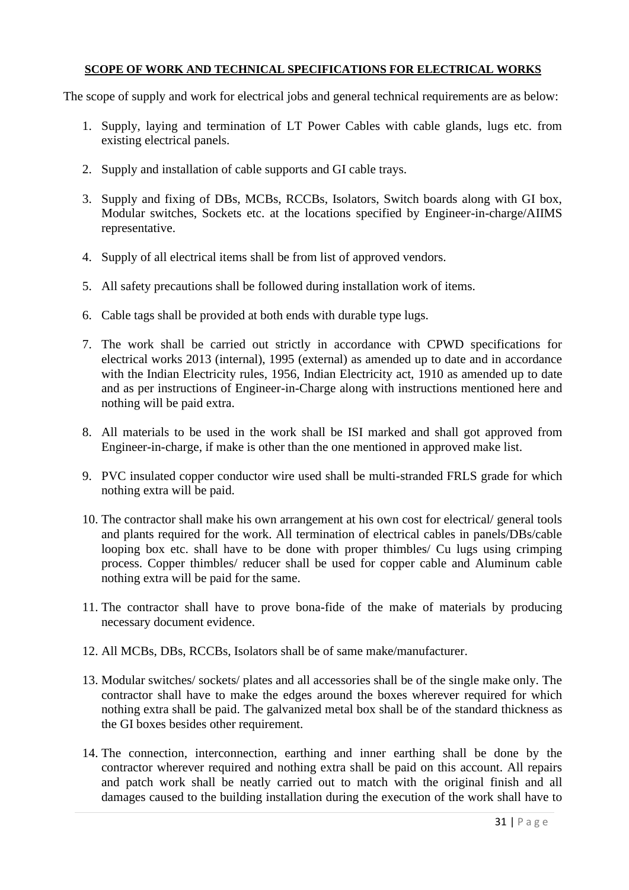#### **SCOPE OF WORK AND TECHNICAL SPECIFICATIONS FOR ELECTRICAL WORKS**

The scope of supply and work for electrical jobs and general technical requirements are as below:

- 1. Supply, laying and termination of LT Power Cables with cable glands, lugs etc. from existing electrical panels.
- 2. Supply and installation of cable supports and GI cable trays.
- 3. Supply and fixing of DBs, MCBs, RCCBs, Isolators, Switch boards along with GI box, Modular switches, Sockets etc. at the locations specified by Engineer-in-charge/AIIMS representative.
- 4. Supply of all electrical items shall be from list of approved vendors.
- 5. All safety precautions shall be followed during installation work of items.
- 6. Cable tags shall be provided at both ends with durable type lugs.
- 7. The work shall be carried out strictly in accordance with CPWD specifications for electrical works 2013 (internal), 1995 (external) as amended up to date and in accordance with the Indian Electricity rules, 1956, Indian Electricity act, 1910 as amended up to date and as per instructions of Engineer-in-Charge along with instructions mentioned here and nothing will be paid extra.
- 8. All materials to be used in the work shall be ISI marked and shall got approved from Engineer-in-charge, if make is other than the one mentioned in approved make list.
- 9. PVC insulated copper conductor wire used shall be multi-stranded FRLS grade for which nothing extra will be paid.
- 10. The contractor shall make his own arrangement at his own cost for electrical/ general tools and plants required for the work. All termination of electrical cables in panels/DBs/cable looping box etc. shall have to be done with proper thimbles/ Cu lugs using crimping process. Copper thimbles/ reducer shall be used for copper cable and Aluminum cable nothing extra will be paid for the same.
- 11. The contractor shall have to prove bona-fide of the make of materials by producing necessary document evidence.
- 12. All MCBs, DBs, RCCBs, Isolators shall be of same make/manufacturer.
- 13. Modular switches/ sockets/ plates and all accessories shall be of the single make only. The contractor shall have to make the edges around the boxes wherever required for which nothing extra shall be paid. The galvanized metal box shall be of the standard thickness as the GI boxes besides other requirement.
- 14. The connection, interconnection, earthing and inner earthing shall be done by the contractor wherever required and nothing extra shall be paid on this account. All repairs and patch work shall be neatly carried out to match with the original finish and all damages caused to the building installation during the execution of the work shall have to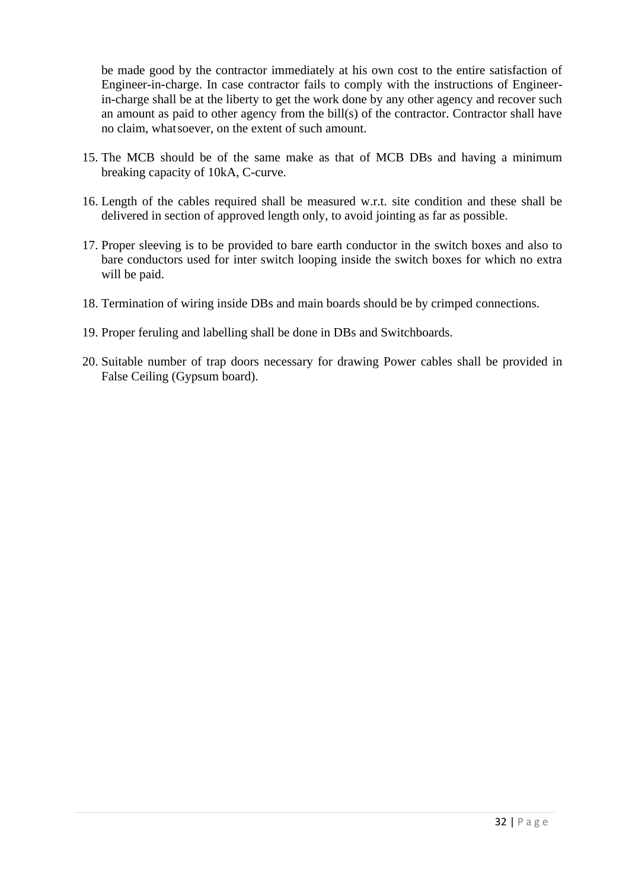be made good by the contractor immediately at his own cost to the entire satisfaction of Engineer-in-charge. In case contractor fails to comply with the instructions of Engineerin-charge shall be at the liberty to get the work done by any other agency and recover such an amount as paid to other agency from the bill(s) of the contractor. Contractor shall have no claim, whatsoever, on the extent of such amount.

- 15. The MCB should be of the same make as that of MCB DBs and having a minimum breaking capacity of 10kA, C-curve.
- 16. Length of the cables required shall be measured w.r.t. site condition and these shall be delivered in section of approved length only, to avoid jointing as far as possible.
- 17. Proper sleeving is to be provided to bare earth conductor in the switch boxes and also to bare conductors used for inter switch looping inside the switch boxes for which no extra will be paid.
- 18. Termination of wiring inside DBs and main boards should be by crimped connections.
- 19. Proper feruling and labelling shall be done in DBs and Switchboards.
- 20. Suitable number of trap doors necessary for drawing Power cables shall be provided in False Ceiling (Gypsum board).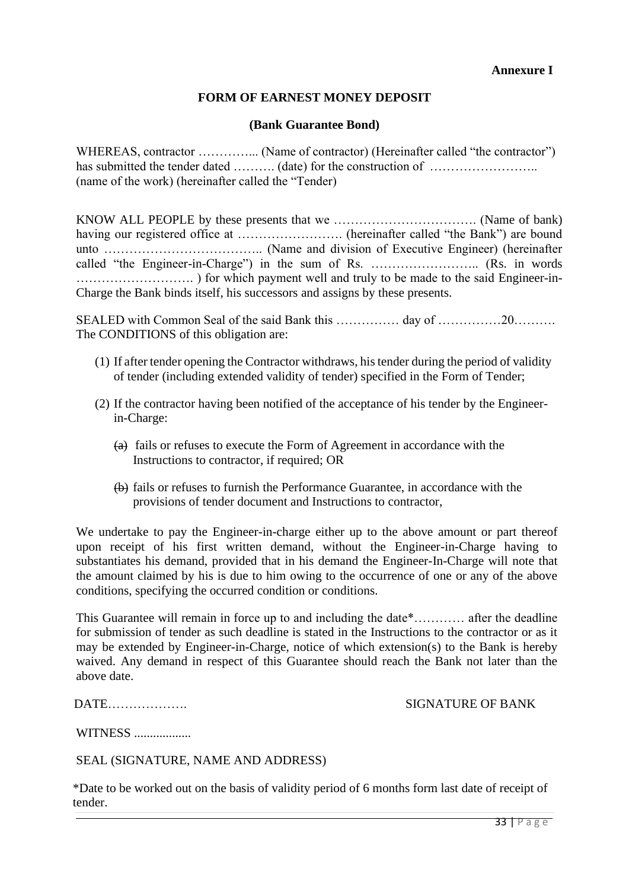#### **Annexure I**

#### **FORM OF EARNEST MONEY DEPOSIT**

#### **(Bank Guarantee Bond)**

WHEREAS, contractor .................. (Name of contractor) (Hereinafter called "the contractor") has submitted the tender dated ……….. (date) for the construction of ……………………………… (name of the work) (hereinafter called the "Tender)

KNOW ALL PEOPLE by these presents that we ……………………………. (Name of bank) having our registered office at ……………………. (hereinafter called "the Bank") are bound unto ……………………………….. (Name and division of Executive Engineer) (hereinafter called "the Engineer-in-Charge") in the sum of Rs. …………………….. (Rs. in words ………………………. ) for which payment well and truly to be made to the said Engineer-in-Charge the Bank binds itself, his successors and assigns by these presents.

SEALED with Common Seal of the said Bank this …………… day of ……………20……… The CONDITIONS of this obligation are:

- (1) If after tender opening the Contractor withdraws, histender during the period of validity of tender (including extended validity of tender) specified in the Form of Tender;
- (2) If the contractor having been notified of the acceptance of his tender by the Engineerin-Charge:
	- $(a)$  fails or refuses to execute the Form of Agreement in accordance with the Instructions to contractor, if required; OR
	- (b) fails or refuses to furnish the Performance Guarantee, in accordance with the provisions of tender document and Instructions to contractor,

We undertake to pay the Engineer-in-charge either up to the above amount or part thereof upon receipt of his first written demand, without the Engineer-in-Charge having to substantiates his demand, provided that in his demand the Engineer-In-Charge will note that the amount claimed by his is due to him owing to the occurrence of one or any of the above conditions, specifying the occurred condition or conditions.

This Guarantee will remain in force up to and including the date\*………… after the deadline for submission of tender as such deadline is stated in the Instructions to the contractor or as it may be extended by Engineer-in-Charge, notice of which extension(s) to the Bank is hereby waived. Any demand in respect of this Guarantee should reach the Bank not later than the above date.

| DATE |  |  |  |  |  |  |  |  |  |
|------|--|--|--|--|--|--|--|--|--|
|      |  |  |  |  |  |  |  |  |  |

#### SIGNATURE OF BANK

WITNESS ..................

#### SEAL (SIGNATURE, NAME AND ADDRESS)

\*Date to be worked out on the basis of validity period of 6 months form last date of receipt of tender.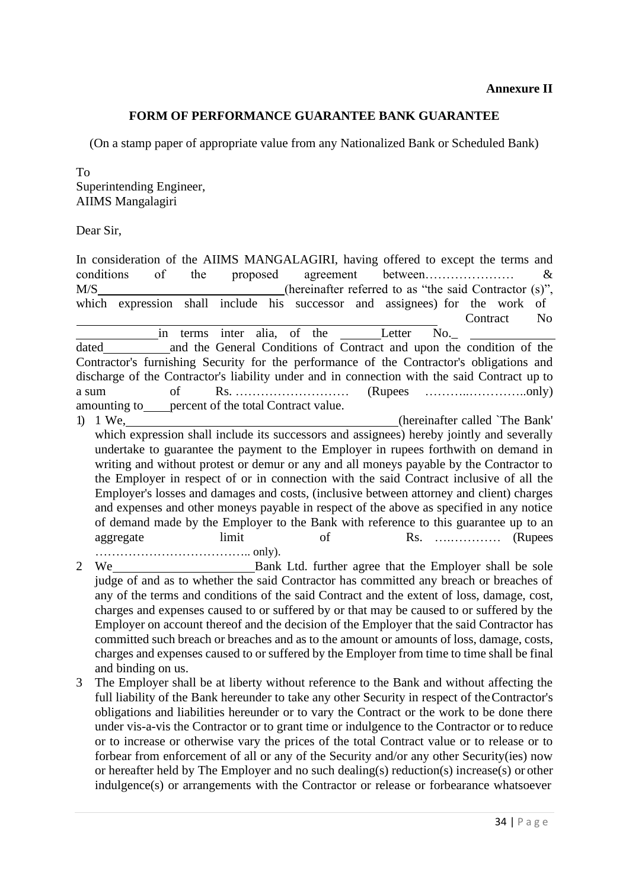#### **FORM OF PERFORMANCE GUARANTEE BANK GUARANTEE**

(On a stamp paper of appropriate value from any Nationalized Bank or Scheduled Bank)

To Superintending Engineer, AIIMS Mangalagiri

Dear Sir,

In consideration of the AIIMS MANGALAGIRI, having offered to except the terms and conditions of the proposed agreement between………………… & M/S (hereinafter referred to as "the said Contractor (s)", which expression shall include his successor and assignees) for the work of Contract No in terms inter alia, of the Letter No. dated and the General Conditions of Contract and upon the condition of the Contractor's furnishing Security for the performance of the Contractor's obligations and discharge of the Contractor's liability under and in connection with the said Contract up to a sum of Rs. ……………………… (Rupees ………..…………..only) amounting to percent of the total Contract value. 1) 1 We, (hereinafter called `The Bank' which expression shall include its successors and assignees) hereby jointly and severally undertake to guarantee the payment to the Employer in rupees forthwith on demand in

writing and without protest or demur or any and all moneys payable by the Contractor to the Employer in respect of or in connection with the said Contract inclusive of all the Employer's losses and damages and costs, (inclusive between attorney and client) charges and expenses and other moneys payable in respect of the above as specified in any notice of demand made by the Employer to the Bank with reference to this guarantee up to an aggregate limit of Rs. …………… (Rupees ……………………………….. only).

2 We Bank Ltd. further agree that the Employer shall be sole judge of and as to whether the said Contractor has committed any breach or breaches of any of the terms and conditions of the said Contract and the extent of loss, damage, cost, charges and expenses caused to or suffered by or that may be caused to or suffered by the Employer on account thereof and the decision of the Employer that the said Contractor has committed such breach or breaches and as to the amount or amounts of loss, damage, costs, charges and expenses caused to or suffered by the Employer from time to time shall be final and binding on us.

3 The Employer shall be at liberty without reference to the Bank and without affecting the full liability of the Bank hereunder to take any other Security in respect of theContractor's obligations and liabilities hereunder or to vary the Contract or the work to be done there under vis-a-vis the Contractor or to grant time or indulgence to the Contractor or to reduce or to increase or otherwise vary the prices of the total Contract value or to release or to forbear from enforcement of all or any of the Security and/or any other Security(ies) now or hereafter held by The Employer and no such dealing(s) reduction(s) increase(s) or other indulgence(s) or arrangements with the Contractor or release or forbearance whatsoever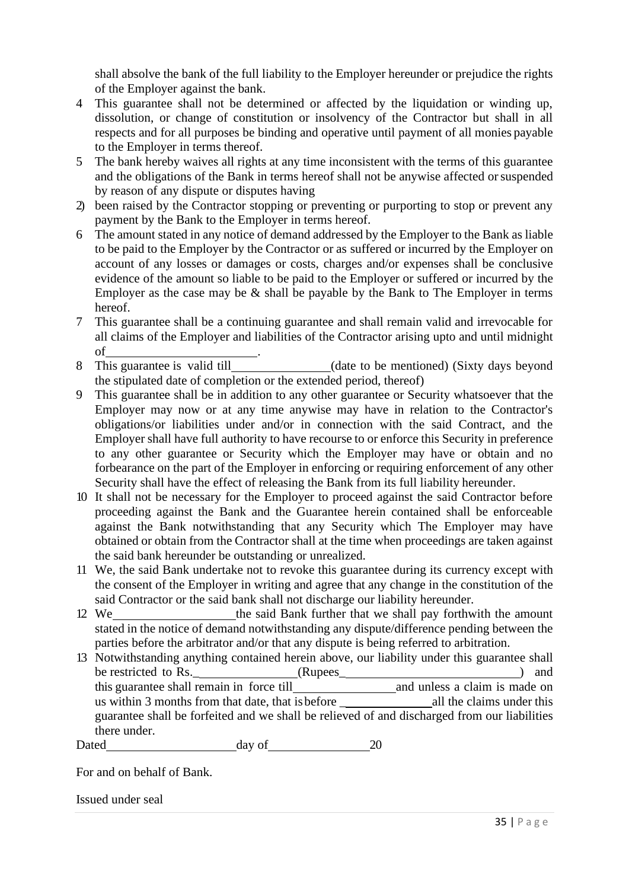shall absolve the bank of the full liability to the Employer hereunder or prejudice the rights of the Employer against the bank.

- 4 This guarantee shall not be determined or affected by the liquidation or winding up, dissolution, or change of constitution or insolvency of the Contractor but shall in all respects and for all purposes be binding and operative until payment of all monies payable to the Employer in terms thereof.
- 5 The bank hereby waives all rights at any time inconsistent with the terms of this guarantee and the obligations of the Bank in terms hereof shall not be anywise affected orsuspended by reason of any dispute or disputes having
- 2) been raised by the Contractor stopping or preventing or purporting to stop or prevent any payment by the Bank to the Employer in terms hereof.
- 6 The amount stated in any notice of demand addressed by the Employer to the Bank as liable to be paid to the Employer by the Contractor or as suffered or incurred by the Employer on account of any losses or damages or costs, charges and/or expenses shall be conclusive evidence of the amount so liable to be paid to the Employer or suffered or incurred by the Employer as the case may be  $\&$  shall be payable by the Bank to The Employer in terms hereof.
- 7 This guarantee shall be a continuing guarantee and shall remain valid and irrevocable for all claims of the Employer and liabilities of the Contractor arising upto and until midnight of .
- 8 This guarantee is valid till (date to be mentioned) (Sixty days beyond the stipulated date of completion or the extended period, thereof)
- 9 This guarantee shall be in addition to any other guarantee or Security whatsoever that the Employer may now or at any time anywise may have in relation to the Contractor's obligations/or liabilities under and/or in connection with the said Contract, and the Employer shall have full authority to have recourse to or enforce this Security in preference to any other guarantee or Security which the Employer may have or obtain and no forbearance on the part of the Employer in enforcing or requiring enforcement of any other Security shall have the effect of releasing the Bank from its full liability hereunder.
- 10 It shall not be necessary for the Employer to proceed against the said Contractor before proceeding against the Bank and the Guarantee herein contained shall be enforceable against the Bank notwithstanding that any Security which The Employer may have obtained or obtain from the Contractor shall at the time when proceedings are taken against the said bank hereunder be outstanding or unrealized.
- 11 We, the said Bank undertake not to revoke this guarantee during its currency except with the consent of the Employer in writing and agree that any change in the constitution of the said Contractor or the said bank shall not discharge our liability hereunder.
- 12 We the said Bank further that we shall pay forthwith the amount stated in the notice of demand notwithstanding any dispute/difference pending between the parties before the arbitrator and/or that any dispute is being referred to arbitration.
- 13 Notwithstanding anything contained herein above, our liability under this guarantee shall<br>be restricted to Rs. (Rupees) and (Rupees) and this guarantee shall remain in force till and unless a claim is made on us within 3 months from that date, that is before  $\qquad$  all the claims under this guarantee shall be forfeited and we shall be relieved of and discharged from our liabilities there under.

Dated day of 20

For and on behalf of Bank.

Issued under seal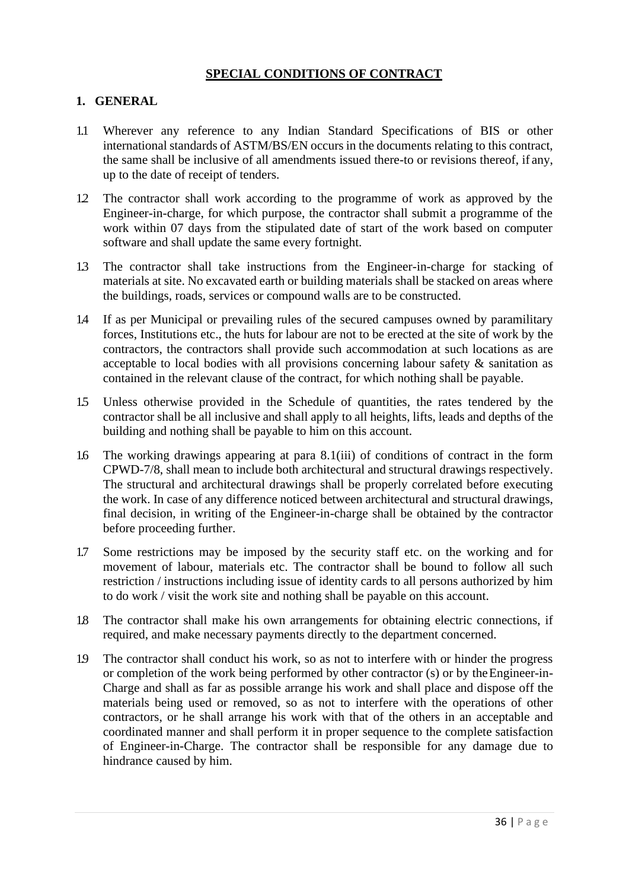#### **SPECIAL CONDITIONS OF CONTRACT**

#### **1. GENERAL**

- 1.1 Wherever any reference to any Indian Standard Specifications of BIS or other international standards of ASTM/BS/EN occurs in the documents relating to this contract, the same shall be inclusive of all amendments issued there-to or revisions thereof, if any, up to the date of receipt of tenders.
- 1.2 The contractor shall work according to the programme of work as approved by the Engineer-in-charge, for which purpose, the contractor shall submit a programme of the work within 07 days from the stipulated date of start of the work based on computer software and shall update the same every fortnight.
- 1.3 The contractor shall take instructions from the Engineer-in-charge for stacking of materials at site. No excavated earth or building materials shall be stacked on areas where the buildings, roads, services or compound walls are to be constructed.
- 1.4 If as per Municipal or prevailing rules of the secured campuses owned by paramilitary forces, Institutions etc., the huts for labour are not to be erected at the site of work by the contractors, the contractors shall provide such accommodation at such locations as are acceptable to local bodies with all provisions concerning labour safety & sanitation as contained in the relevant clause of the contract, for which nothing shall be payable.
- 1.5 Unless otherwise provided in the Schedule of quantities, the rates tendered by the contractor shall be all inclusive and shall apply to all heights, lifts, leads and depths of the building and nothing shall be payable to him on this account.
- 1.6 The working drawings appearing at para 8.1(iii) of conditions of contract in the form CPWD-7/8, shall mean to include both architectural and structural drawings respectively. The structural and architectural drawings shall be properly correlated before executing the work. In case of any difference noticed between architectural and structural drawings, final decision, in writing of the Engineer-in-charge shall be obtained by the contractor before proceeding further.
- 1.7 Some restrictions may be imposed by the security staff etc. on the working and for movement of labour, materials etc. The contractor shall be bound to follow all such restriction / instructions including issue of identity cards to all persons authorized by him to do work / visit the work site and nothing shall be payable on this account.
- 1.8 The contractor shall make his own arrangements for obtaining electric connections, if required, and make necessary payments directly to the department concerned.
- 1.9 The contractor shall conduct his work, so as not to interfere with or hinder the progress or completion of the work being performed by other contractor (s) or by theEngineer-in-Charge and shall as far as possible arrange his work and shall place and dispose off the materials being used or removed, so as not to interfere with the operations of other contractors, or he shall arrange his work with that of the others in an acceptable and coordinated manner and shall perform it in proper sequence to the complete satisfaction of Engineer-in-Charge. The contractor shall be responsible for any damage due to hindrance caused by him.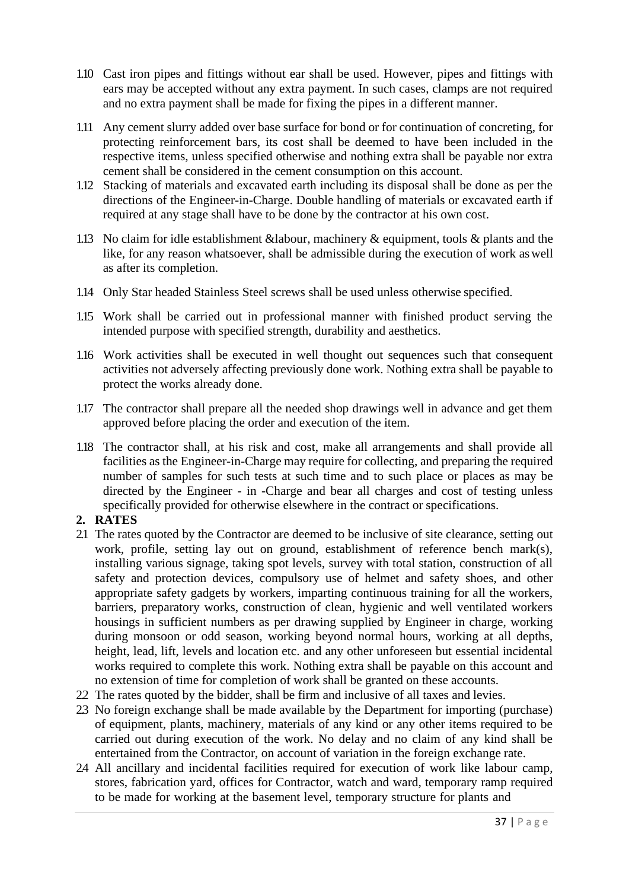- 1.10 Cast iron pipes and fittings without ear shall be used. However, pipes and fittings with ears may be accepted without any extra payment. In such cases, clamps are not required and no extra payment shall be made for fixing the pipes in a different manner.
- 1.11 Any cement slurry added over base surface for bond or for continuation of concreting, for protecting reinforcement bars, its cost shall be deemed to have been included in the respective items, unless specified otherwise and nothing extra shall be payable nor extra cement shall be considered in the cement consumption on this account.
- 1.12 Stacking of materials and excavated earth including its disposal shall be done as per the directions of the Engineer-in-Charge. Double handling of materials or excavated earth if required at any stage shall have to be done by the contractor at his own cost.
- 1.13 No claim for idle establishment &labour, machinery & equipment, tools & plants and the like, for any reason whatsoever, shall be admissible during the execution of work aswell as after its completion.
- 1.14 Only Star headed Stainless Steel screws shall be used unless otherwise specified.
- 1.15 Work shall be carried out in professional manner with finished product serving the intended purpose with specified strength, durability and aesthetics.
- 1.16 Work activities shall be executed in well thought out sequences such that consequent activities not adversely affecting previously done work. Nothing extra shall be payable to protect the works already done.
- 1.17 The contractor shall prepare all the needed shop drawings well in advance and get them approved before placing the order and execution of the item.
- 1.18 The contractor shall, at his risk and cost, make all arrangements and shall provide all facilities as the Engineer-in-Charge may require for collecting, and preparing the required number of samples for such tests at such time and to such place or places as may be directed by the Engineer - in -Charge and bear all charges and cost of testing unless specifically provided for otherwise elsewhere in the contract or specifications.

#### **2. RATES**

- 2.1 The rates quoted by the Contractor are deemed to be inclusive of site clearance, setting out work, profile, setting lay out on ground, establishment of reference bench mark(s), installing various signage, taking spot levels, survey with total station, construction of all safety and protection devices, compulsory use of helmet and safety shoes, and other appropriate safety gadgets by workers, imparting continuous training for all the workers, barriers, preparatory works, construction of clean, hygienic and well ventilated workers housings in sufficient numbers as per drawing supplied by Engineer in charge, working during monsoon or odd season, working beyond normal hours, working at all depths, height, lead, lift, levels and location etc. and any other unforeseen but essential incidental works required to complete this work. Nothing extra shall be payable on this account and no extension of time for completion of work shall be granted on these accounts.
- 2.2 The rates quoted by the bidder, shall be firm and inclusive of all taxes and levies.
- 2.3 No foreign exchange shall be made available by the Department for importing (purchase) of equipment, plants, machinery, materials of any kind or any other items required to be carried out during execution of the work. No delay and no claim of any kind shall be entertained from the Contractor, on account of variation in the foreign exchange rate.
- 2.4 All ancillary and incidental facilities required for execution of work like labour camp, stores, fabrication yard, offices for Contractor, watch and ward, temporary ramp required to be made for working at the basement level, temporary structure for plants and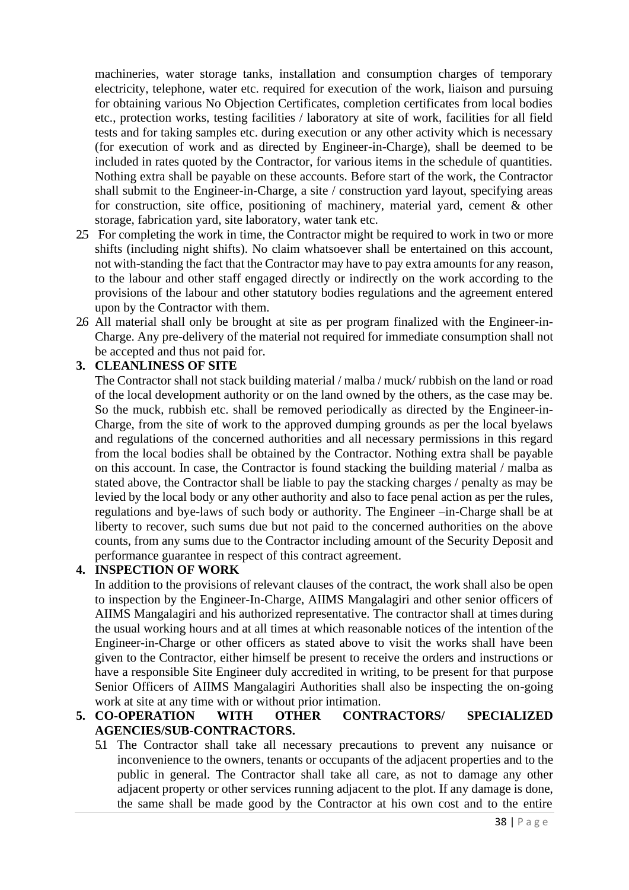machineries, water storage tanks, installation and consumption charges of temporary electricity, telephone, water etc. required for execution of the work, liaison and pursuing for obtaining various No Objection Certificates, completion certificates from local bodies etc., protection works, testing facilities / laboratory at site of work, facilities for all field tests and for taking samples etc. during execution or any other activity which is necessary (for execution of work and as directed by Engineer-in-Charge), shall be deemed to be included in rates quoted by the Contractor, for various items in the schedule of quantities. Nothing extra shall be payable on these accounts. Before start of the work, the Contractor shall submit to the Engineer-in-Charge, a site / construction yard layout, specifying areas for construction, site office, positioning of machinery, material yard, cement & other storage, fabrication yard, site laboratory, water tank etc.

- 2.5 For completing the work in time, the Contractor might be required to work in two or more shifts (including night shifts). No claim whatsoever shall be entertained on this account, not with-standing the fact that the Contractor may have to pay extra amounts for any reason, to the labour and other staff engaged directly or indirectly on the work according to the provisions of the labour and other statutory bodies regulations and the agreement entered upon by the Contractor with them.
- 2.6 All material shall only be brought at site as per program finalized with the Engineer-in-Charge. Any pre-delivery of the material not required for immediate consumption shall not be accepted and thus not paid for.

#### **3. CLEANLINESS OF SITE**

The Contractor shall not stack building material / malba / muck/ rubbish on the land or road of the local development authority or on the land owned by the others, as the case may be. So the muck, rubbish etc. shall be removed periodically as directed by the Engineer-in-Charge, from the site of work to the approved dumping grounds as per the local byelaws and regulations of the concerned authorities and all necessary permissions in this regard from the local bodies shall be obtained by the Contractor. Nothing extra shall be payable on this account. In case, the Contractor is found stacking the building material / malba as stated above, the Contractor shall be liable to pay the stacking charges / penalty as may be levied by the local body or any other authority and also to face penal action as per the rules, regulations and bye-laws of such body or authority. The Engineer –in-Charge shall be at liberty to recover, such sums due but not paid to the concerned authorities on the above counts, from any sums due to the Contractor including amount of the Security Deposit and performance guarantee in respect of this contract agreement.

#### **4. INSPECTION OF WORK**

In addition to the provisions of relevant clauses of the contract, the work shall also be open to inspection by the Engineer-In-Charge, AIIMS Mangalagiri and other senior officers of AIIMS Mangalagiri and his authorized representative. The contractor shall at times during the usual working hours and at all times at which reasonable notices of the intention ofthe Engineer-in-Charge or other officers as stated above to visit the works shall have been given to the Contractor, either himself be present to receive the orders and instructions or have a responsible Site Engineer duly accredited in writing, to be present for that purpose Senior Officers of AIIMS Mangalagiri Authorities shall also be inspecting the on-going work at site at any time with or without prior intimation.

#### **5. CO-OPERATION WITH OTHER CONTRACTORS/ SPECIALIZED AGENCIES/SUB-CONTRACTORS.**

5.1 The Contractor shall take all necessary precautions to prevent any nuisance or inconvenience to the owners, tenants or occupants of the adjacent properties and to the public in general. The Contractor shall take all care, as not to damage any other adjacent property or other services running adjacent to the plot. If any damage is done, the same shall be made good by the Contractor at his own cost and to the entire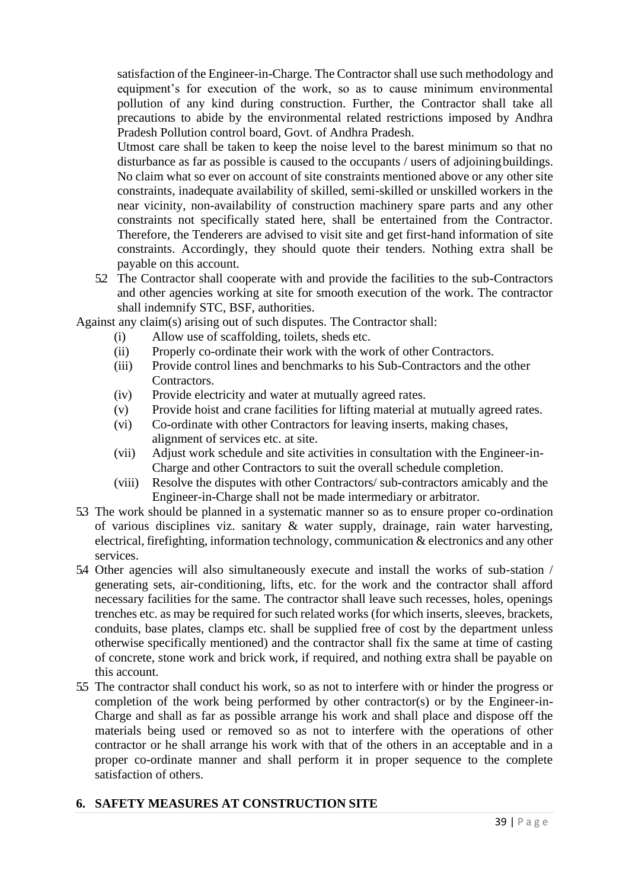satisfaction of the Engineer-in-Charge. The Contractor shall use such methodology and equipment's for execution of the work, so as to cause minimum environmental pollution of any kind during construction. Further, the Contractor shall take all precautions to abide by the environmental related restrictions imposed by Andhra Pradesh Pollution control board, Govt. of Andhra Pradesh.

Utmost care shall be taken to keep the noise level to the barest minimum so that no disturbance as far as possible is caused to the occupants / users of adjoiningbuildings. No claim what so ever on account of site constraints mentioned above or any other site constraints, inadequate availability of skilled, semi-skilled or unskilled workers in the near vicinity, non-availability of construction machinery spare parts and any other constraints not specifically stated here, shall be entertained from the Contractor. Therefore, the Tenderers are advised to visit site and get first-hand information of site constraints. Accordingly, they should quote their tenders. Nothing extra shall be payable on this account.

5.2 The Contractor shall cooperate with and provide the facilities to the sub-Contractors and other agencies working at site for smooth execution of the work. The contractor shall indemnify STC, BSF, authorities.

Against any claim(s) arising out of such disputes. The Contractor shall:

- (i) Allow use of scaffolding, toilets, sheds etc.
- (ii) Properly co-ordinate their work with the work of other Contractors.
- (iii) Provide control lines and benchmarks to his Sub-Contractors and the other Contractors.
- (iv) Provide electricity and water at mutually agreed rates.
- (v) Provide hoist and crane facilities for lifting material at mutually agreed rates.
- (vi) Co-ordinate with other Contractors for leaving inserts, making chases, alignment of services etc. at site.
- (vii) Adjust work schedule and site activities in consultation with the Engineer-in-Charge and other Contractors to suit the overall schedule completion.
- (viii) Resolve the disputes with other Contractors/ sub-contractors amicably and the Engineer-in-Charge shall not be made intermediary or arbitrator.
- 5.3 The work should be planned in a systematic manner so as to ensure proper co-ordination of various disciplines viz. sanitary & water supply, drainage, rain water harvesting, electrical, firefighting, information technology, communication & electronics and any other services.
- 5.4 Other agencies will also simultaneously execute and install the works of sub-station / generating sets, air-conditioning, lifts, etc. for the work and the contractor shall afford necessary facilities for the same. The contractor shall leave such recesses, holes, openings trenches etc. as may be required for such related works (for which inserts, sleeves, brackets, conduits, base plates, clamps etc. shall be supplied free of cost by the department unless otherwise specifically mentioned) and the contractor shall fix the same at time of casting of concrete, stone work and brick work, if required, and nothing extra shall be payable on this account.
- 5.5 The contractor shall conduct his work, so as not to interfere with or hinder the progress or completion of the work being performed by other contractor(s) or by the Engineer-in-Charge and shall as far as possible arrange his work and shall place and dispose off the materials being used or removed so as not to interfere with the operations of other contractor or he shall arrange his work with that of the others in an acceptable and in a proper co-ordinate manner and shall perform it in proper sequence to the complete satisfaction of others.

### **6. SAFETY MEASURES AT CONSTRUCTION SITE**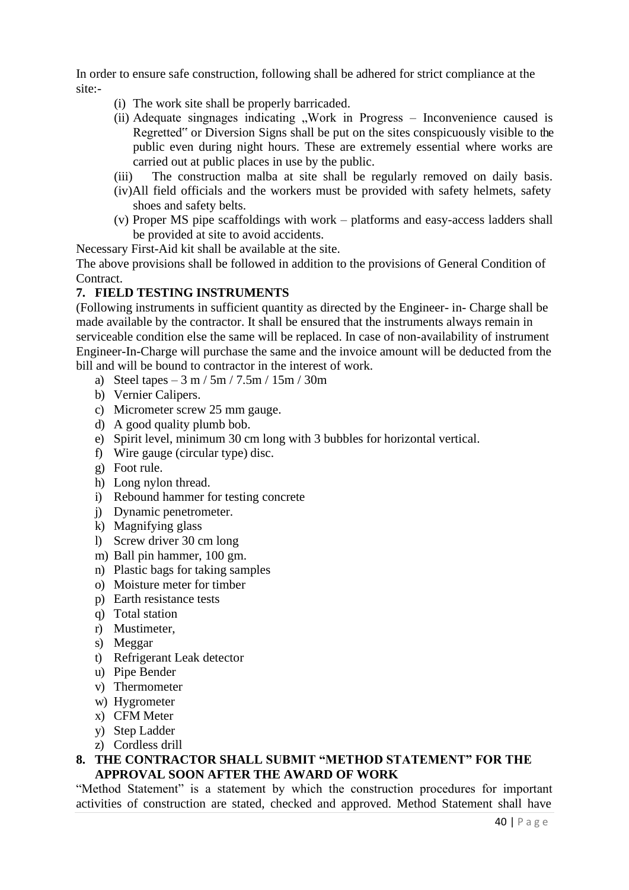In order to ensure safe construction, following shall be adhered for strict compliance at the site:-

- (i) The work site shall be properly barricaded.
- (ii) Adequate singnages indicating  $\mu$ Work in Progress Inconvenience caused is Regretted" or Diversion Signs shall be put on the sites conspicuously visible to the public even during night hours. These are extremely essential where works are carried out at public places in use by the public.
- (iii) The construction malba at site shall be regularly removed on daily basis.
- (iv)All field officials and the workers must be provided with safety helmets, safety shoes and safety belts.
- (v) Proper MS pipe scaffoldings with work platforms and easy-access ladders shall be provided at site to avoid accidents.

Necessary First-Aid kit shall be available at the site.

The above provisions shall be followed in addition to the provisions of General Condition of Contract.

#### **7. FIELD TESTING INSTRUMENTS**

(Following instruments in sufficient quantity as directed by the Engineer- in- Charge shall be made available by the contractor. It shall be ensured that the instruments always remain in serviceable condition else the same will be replaced. In case of non-availability of instrument Engineer-In-Charge will purchase the same and the invoice amount will be deducted from the bill and will be bound to contractor in the interest of work.

- a) Steel tapes  $-3 \text{ m} / 5 \text{ m} / 7.5 \text{ m} / 15 \text{ m} / 30 \text{ m}$
- b) Vernier Calipers.
- c) Micrometer screw 25 mm gauge.
- d) A good quality plumb bob.
- e) Spirit level, minimum 30 cm long with 3 bubbles for horizontal vertical.
- f) Wire gauge (circular type) disc.
- g) Foot rule.
- h) Long nylon thread.
- i) Rebound hammer for testing concrete
- j) Dynamic penetrometer.
- k) Magnifying glass
- l) Screw driver 30 cm long
- m) Ball pin hammer, 100 gm.
- n) Plastic bags for taking samples
- o) Moisture meter for timber
- p) Earth resistance tests
- q) Total station
- r) Mustimeter,
- s) Meggar
- t) Refrigerant Leak detector
- u) Pipe Bender
- v) Thermometer
- w) Hygrometer
- x) CFM Meter
- y) Step Ladder
- z) Cordless drill
- **8. THE CONTRACTOR SHALL SUBMIT "METHOD STATEMENT" FOR THE APPROVAL SOON AFTER THE AWARD OF WORK**

"Method Statement" is a statement by which the construction procedures for important activities of construction are stated, checked and approved. Method Statement shall have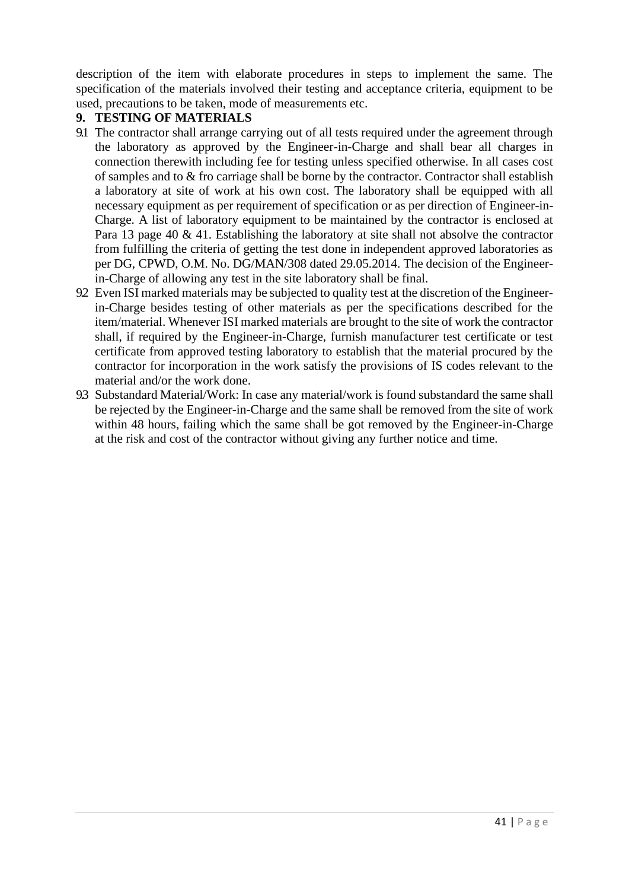description of the item with elaborate procedures in steps to implement the same. The specification of the materials involved their testing and acceptance criteria, equipment to be used, precautions to be taken, mode of measurements etc.

#### **9. TESTING OF MATERIALS**

- 9.1 The contractor shall arrange carrying out of all tests required under the agreement through the laboratory as approved by the Engineer-in-Charge and shall bear all charges in connection therewith including fee for testing unless specified otherwise. In all cases cost of samples and to & fro carriage shall be borne by the contractor. Contractor shall establish a laboratory at site of work at his own cost. The laboratory shall be equipped with all necessary equipment as per requirement of specification or as per direction of Engineer-in-Charge. A list of laboratory equipment to be maintained by the contractor is enclosed at Para 13 page 40 & 41. Establishing the laboratory at site shall not absolve the contractor from fulfilling the criteria of getting the test done in independent approved laboratories as per DG, CPWD, O.M. No. DG/MAN/308 dated 29.05.2014. The decision of the Engineerin-Charge of allowing any test in the site laboratory shall be final.
- 9.2 Even ISI marked materials may be subjected to quality test at the discretion of the Engineerin-Charge besides testing of other materials as per the specifications described for the item/material. Whenever ISI marked materials are brought to the site of work the contractor shall, if required by the Engineer-in-Charge, furnish manufacturer test certificate or test certificate from approved testing laboratory to establish that the material procured by the contractor for incorporation in the work satisfy the provisions of IS codes relevant to the material and/or the work done.
- 9.3 Substandard Material/Work: In case any material/work is found substandard the same shall be rejected by the Engineer-in-Charge and the same shall be removed from the site of work within 48 hours, failing which the same shall be got removed by the Engineer-in-Charge at the risk and cost of the contractor without giving any further notice and time.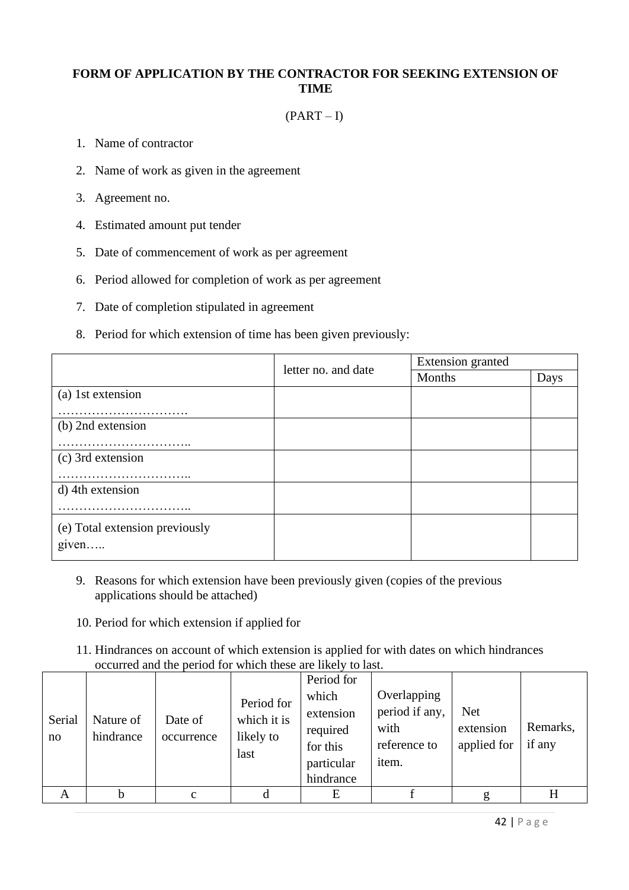#### **FORM OF APPLICATION BY THE CONTRACTOR FOR SEEKING EXTENSION OF TIME**

#### $(PART - I)$

- 1. Name of contractor
- 2. Name of work as given in the agreement
- 3. Agreement no.
- 4. Estimated amount put tender
- 5. Date of commencement of work as per agreement
- 6. Period allowed for completion of work as per agreement
- 7. Date of completion stipulated in agreement
- 8. Period for which extension of time has been given previously:

|                                | letter no. and date | Extension granted |      |  |  |
|--------------------------------|---------------------|-------------------|------|--|--|
|                                |                     | Months            | Days |  |  |
| (a) 1st extension              |                     |                   |      |  |  |
| .                              |                     |                   |      |  |  |
| (b) 2nd extension              |                     |                   |      |  |  |
|                                |                     |                   |      |  |  |
| (c) 3rd extension              |                     |                   |      |  |  |
|                                |                     |                   |      |  |  |
| d) 4th extension               |                     |                   |      |  |  |
|                                |                     |                   |      |  |  |
| (e) Total extension previously |                     |                   |      |  |  |
|                                |                     |                   |      |  |  |
| $g$ ven                        |                     |                   |      |  |  |

- 9. Reasons for which extension have been previously given (copies of the previous applications should be attached)
- 10. Period for which extension if applied for
- 11. Hindrances on account of which extension is applied for with dates on which hindrances occurred and the period for which these are likely to last.

| Serial<br>no | Nature of<br>hindrance | Date of<br>occurrence | Period for<br>which it is<br>likely to<br>last | Period for<br>which<br>extension<br>required<br>for this<br>particular<br>hindrance | Overlapping<br>period if any,<br>with<br>reference to<br>item. | <b>Net</b><br>extension<br>applied for | Remarks,<br>if any |
|--------------|------------------------|-----------------------|------------------------------------------------|-------------------------------------------------------------------------------------|----------------------------------------------------------------|----------------------------------------|--------------------|
| A            | h                      | $\mathbf{c}$          |                                                | E                                                                                   |                                                                |                                        | H                  |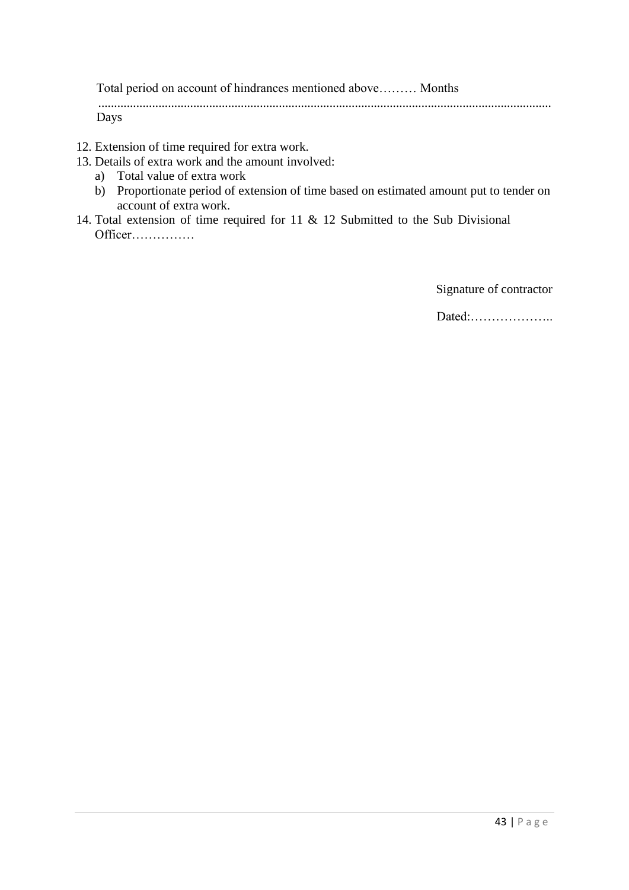Total period on account of hindrances mentioned above……… Months ...............................................................................................................................................

Days

- 12. Extension of time required for extra work.
- 13. Details of extra work and the amount involved:
	- a) Total value of extra work
	- b) Proportionate period of extension of time based on estimated amount put to tender on account of extra work.
- 14. Total extension of time required for 11 & 12 Submitted to the Sub Divisional Officer……………

Signature of contractor

Dated:………………..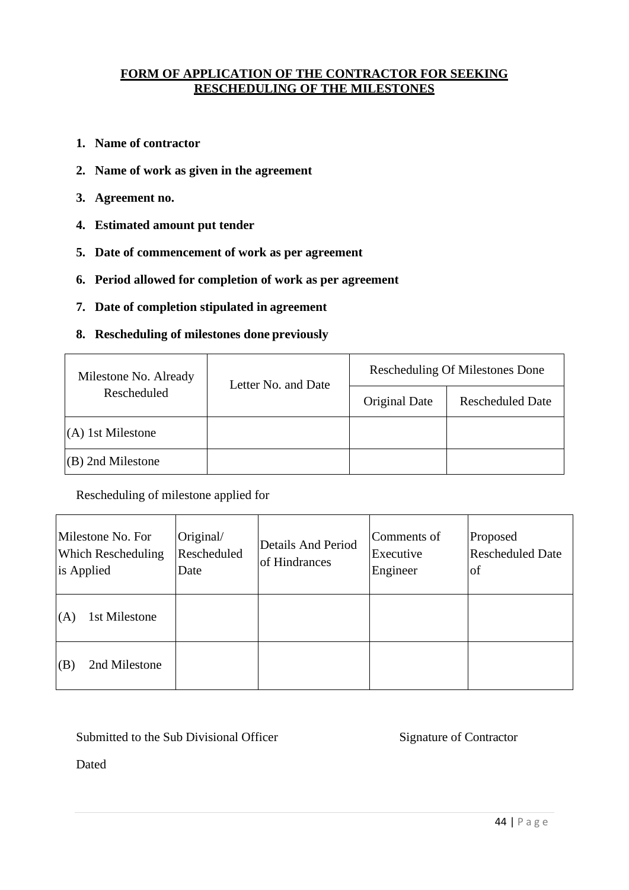#### **FORM OF APPLICATION OF THE CONTRACTOR FOR SEEKING RESCHEDULING OF THE MILESTONES**

- **1. Name of contractor**
- **2. Name of work as given in the agreement**
- **3. Agreement no.**
- **4. Estimated amount put tender**
- **5. Date of commencement of work as per agreement**
- **6. Period allowed for completion of work as per agreement**
- **7. Date of completion stipulated in agreement**
- **8. Rescheduling of milestones done previously**

| Milestone No. Already | Letter No. and Date | <b>Rescheduling Of Milestones Done</b> |                         |  |  |  |  |
|-----------------------|---------------------|----------------------------------------|-------------------------|--|--|--|--|
| Rescheduled           |                     | Original Date                          | <b>Rescheduled Date</b> |  |  |  |  |
| $(A)$ 1st Milestone   |                     |                                        |                         |  |  |  |  |
| $(B)$ 2nd Milestone   |                     |                                        |                         |  |  |  |  |

Rescheduling of milestone applied for

| Milestone No. For<br><b>Which Rescheduling</b><br>is Applied | Original/<br>Rescheduled<br>Date | <b>Details And Period</b><br>of Hindrances | Comments of<br>Executive<br>Engineer | Proposed<br><b>Rescheduled Date</b><br><sup>of</sup> |
|--------------------------------------------------------------|----------------------------------|--------------------------------------------|--------------------------------------|------------------------------------------------------|
| 1st Milestone<br>(A)                                         |                                  |                                            |                                      |                                                      |
| 2nd Milestone<br>(B)                                         |                                  |                                            |                                      |                                                      |

Submitted to the Sub Divisional Officer Signature of Contractor

Dated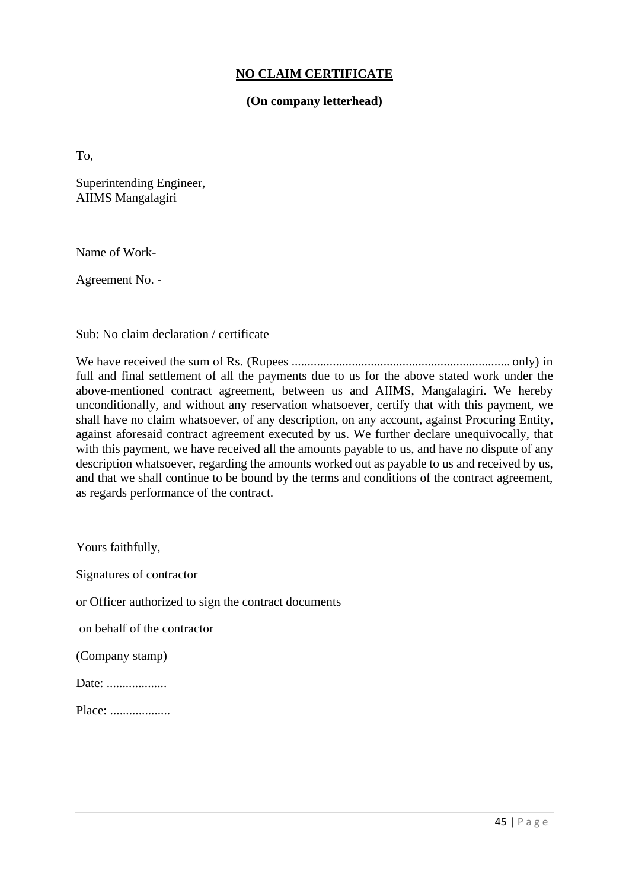#### **NO CLAIM CERTIFICATE**

#### **(On company letterhead)**

To,

Superintending Engineer, AIIMS Mangalagiri

Name of Work-

Agreement No. -

Sub: No claim declaration / certificate

We have received the sum of Rs. (Rupees ..................................................................... only) in full and final settlement of all the payments due to us for the above stated work under the above-mentioned contract agreement, between us and AIIMS, Mangalagiri. We hereby unconditionally, and without any reservation whatsoever, certify that with this payment, we shall have no claim whatsoever, of any description, on any account, against Procuring Entity, against aforesaid contract agreement executed by us. We further declare unequivocally, that with this payment, we have received all the amounts payable to us, and have no dispute of any description whatsoever, regarding the amounts worked out as payable to us and received by us, and that we shall continue to be bound by the terms and conditions of the contract agreement, as regards performance of the contract.

Yours faithfully,

Signatures of contractor

or Officer authorized to sign the contract documents

on behalf of the contractor

(Company stamp)

Date: .....................

Place: .....................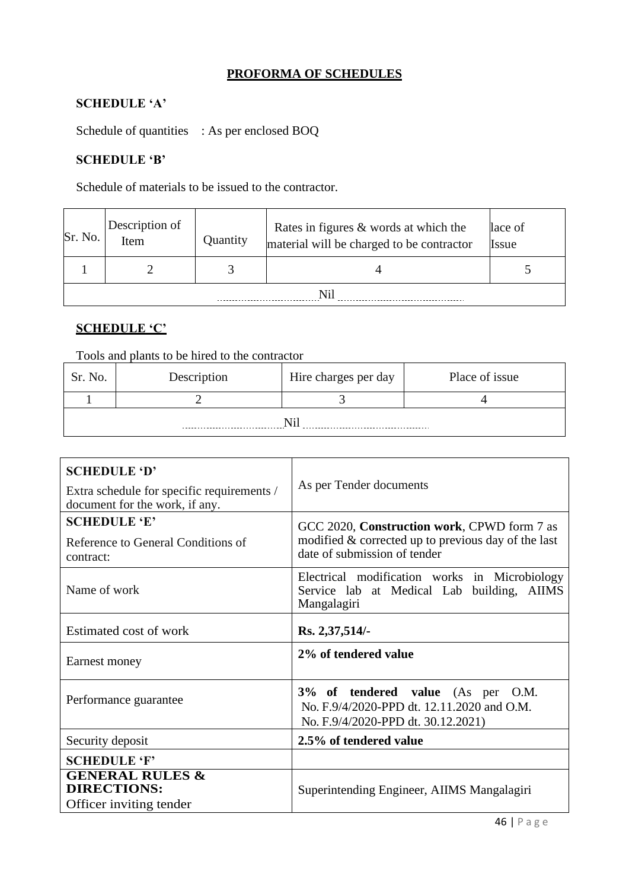### **PROFORMA OF SCHEDULES**

### **SCHEDULE 'A'**

Schedule of quantities : As per enclosed BOQ

#### **SCHEDULE 'B'**

Schedule of materials to be issued to the contractor.

| Sr. No. | Description of<br>Item | Rates in figures & words at which the<br>Quantity<br>material will be charged to be contractor |  | lace of<br>Issue |  |  |
|---------|------------------------|------------------------------------------------------------------------------------------------|--|------------------|--|--|
|         |                        |                                                                                                |  |                  |  |  |
|         |                        |                                                                                                |  |                  |  |  |

#### **SCHEDULE 'C'**

Tools and plants to be hired to the contractor

| Sr. No. | Description | Hire charges per day | Place of issue |  |  |  |
|---------|-------------|----------------------|----------------|--|--|--|
|         |             |                      |                |  |  |  |
|         |             |                      |                |  |  |  |

| <b>SCHEDULE 'D'</b><br>Extra schedule for specific requirements /<br>document for the work, if any. | As per Tender documents                                                                                                              |  |  |  |
|-----------------------------------------------------------------------------------------------------|--------------------------------------------------------------------------------------------------------------------------------------|--|--|--|
| <b>SCHEDULE 'E'</b><br>Reference to General Conditions of<br>contract:                              | GCC 2020, Construction work, CPWD form 7 as<br>modified $&$ corrected up to previous day of the last<br>date of submission of tender |  |  |  |
| Name of work                                                                                        | Electrical modification works in Microbiology<br>Service lab at Medical Lab building, AIIMS<br>Mangalagiri                           |  |  |  |
| Estimated cost of work                                                                              | Rs. 2,37,514/-                                                                                                                       |  |  |  |
| Earnest money                                                                                       | 2% of tendered value                                                                                                                 |  |  |  |
| Performance guarantee                                                                               | 3% of tendered value (As per O.M.<br>No. F.9/4/2020-PPD dt. 12.11.2020 and O.M.<br>No. F.9/4/2020-PPD dt. 30.12.2021)                |  |  |  |
| Security deposit                                                                                    | 2.5% of tendered value                                                                                                               |  |  |  |
| <b>SCHEDULE 'F'</b>                                                                                 |                                                                                                                                      |  |  |  |
| <b>GENERAL RULES &amp;</b><br><b>DIRECTIONS:</b><br>Officer inviting tender                         | Superintending Engineer, AIIMS Mangalagiri                                                                                           |  |  |  |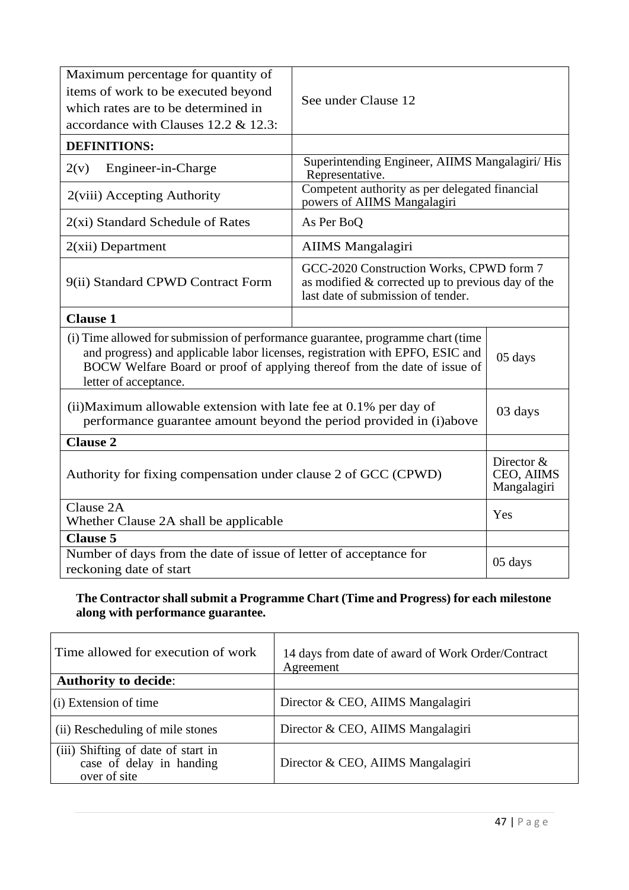| Maximum percentage for quantity of<br>items of work to be executed beyond<br>which rates are to be determined in<br>accordance with Clauses 12.2 & 12.3:                                                                                                               |                                                                                               |  |  |
|------------------------------------------------------------------------------------------------------------------------------------------------------------------------------------------------------------------------------------------------------------------------|-----------------------------------------------------------------------------------------------|--|--|
| <b>DEFINITIONS:</b>                                                                                                                                                                                                                                                    |                                                                                               |  |  |
| Engineer-in-Charge<br>2(v)                                                                                                                                                                                                                                             | Superintending Engineer, AIIMS Mangalagiri/ His                                               |  |  |
| 2(viii) Accepting Authority                                                                                                                                                                                                                                            | Competent authority as per delegated financial<br>powers of AIIMS Mangalagiri                 |  |  |
| $2(xi)$ Standard Schedule of Rates                                                                                                                                                                                                                                     | As Per BoQ                                                                                    |  |  |
| $2(xii)$ Department                                                                                                                                                                                                                                                    | <b>AIIMS</b> Mangalagiri                                                                      |  |  |
| 9(ii) Standard CPWD Contract Form                                                                                                                                                                                                                                      | GCC-2020 Construction Works, CPWD form 7<br>as modified & corrected up to previous day of the |  |  |
| <b>Clause 1</b>                                                                                                                                                                                                                                                        |                                                                                               |  |  |
| (i) Time allowed for submission of performance guarantee, programme chart (time<br>and progress) and applicable labor licenses, registration with EPFO, ESIC and<br>BOCW Welfare Board or proof of applying thereof from the date of issue of<br>letter of acceptance. | 05 days                                                                                       |  |  |
| (ii) Maximum allowable extension with late fee at 0.1% per day of<br>performance guarantee amount beyond the period provided in (i)above                                                                                                                               | 03 days                                                                                       |  |  |
| <b>Clause 2</b>                                                                                                                                                                                                                                                        |                                                                                               |  |  |
| Authority for fixing compensation under clause 2 of GCC (CPWD)                                                                                                                                                                                                         | Director &<br>CEO, AIIMS<br>Mangalagiri                                                       |  |  |
| Clause 2A<br>Whether Clause 2A shall be applicable                                                                                                                                                                                                                     | Yes                                                                                           |  |  |
| <b>Clause 5</b>                                                                                                                                                                                                                                                        |                                                                                               |  |  |
| Number of days from the date of issue of letter of acceptance for<br>reckoning date of start                                                                                                                                                                           | 05 days                                                                                       |  |  |

# **The Contractor shall submit a Programme Chart (Time and Progress) for each milestone along with performance guarantee.**

| Time allowed for execution of work                                             | 14 days from date of award of Work Order/Contract<br>Agreement |  |  |  |
|--------------------------------------------------------------------------------|----------------------------------------------------------------|--|--|--|
| <b>Authority to decide:</b>                                                    |                                                                |  |  |  |
| (i) Extension of time                                                          | Director & CEO, AIIMS Mangalagiri                              |  |  |  |
| (ii) Rescheduling of mile stones                                               | Director & CEO, AIIMS Mangalagiri                              |  |  |  |
| (iii) Shifting of date of start in<br>case of delay in handing<br>over of site | Director & CEO, AIIMS Mangalagiri                              |  |  |  |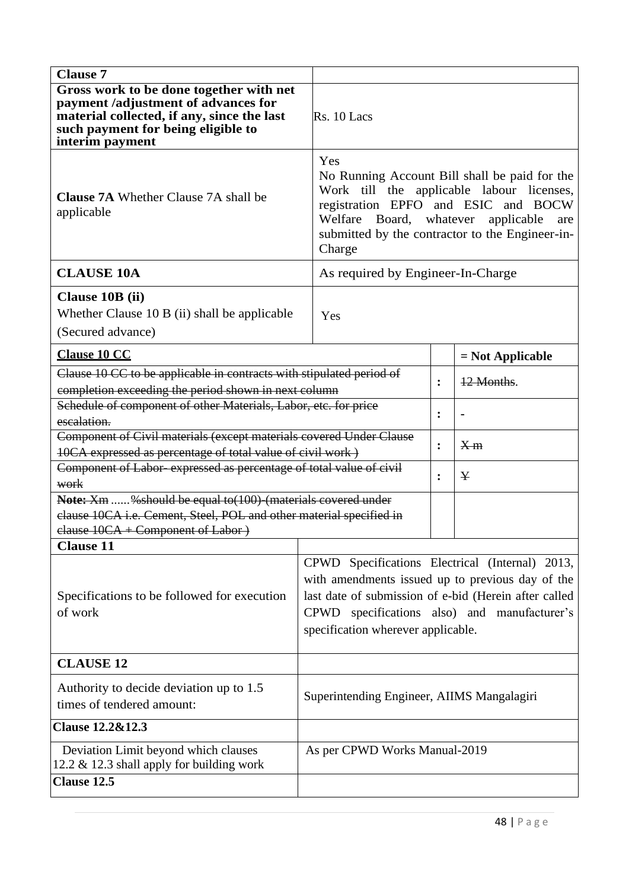| <b>Clause 7</b>                                                                                                                                                                                                                                                                                              |                                                                                                                                                                                                                                                    |                |                    |  |  |
|--------------------------------------------------------------------------------------------------------------------------------------------------------------------------------------------------------------------------------------------------------------------------------------------------------------|----------------------------------------------------------------------------------------------------------------------------------------------------------------------------------------------------------------------------------------------------|----------------|--------------------|--|--|
| Gross work to be done together with net<br>payment /adjustment of advances for<br>material collected, if any, since the last<br>such payment for being eligible to<br>interim payment                                                                                                                        | Rs. 10 Lacs                                                                                                                                                                                                                                        |                |                    |  |  |
| <b>Clause 7A</b> Whether Clause 7A shall be<br>applicable                                                                                                                                                                                                                                                    | Yes<br>No Running Account Bill shall be paid for the<br>Work till the applicable labour licenses,<br>registration EPFO and ESIC and BOCW<br>Welfare Board, whatever applicable<br>are<br>submitted by the contractor to the Engineer-in-<br>Charge |                |                    |  |  |
| <b>CLAUSE 10A</b>                                                                                                                                                                                                                                                                                            | As required by Engineer-In-Charge                                                                                                                                                                                                                  |                |                    |  |  |
| Clause 10B (ii)<br>Whether Clause 10 B (ii) shall be applicable<br>(Secured advance)                                                                                                                                                                                                                         | Yes                                                                                                                                                                                                                                                |                |                    |  |  |
| <b>Clause 10 CC</b>                                                                                                                                                                                                                                                                                          |                                                                                                                                                                                                                                                    |                | $=$ Not Applicable |  |  |
| Clause 10 CC to be applicable in contracts with stipulated period of<br>completion exceeding the period shown in next column                                                                                                                                                                                 |                                                                                                                                                                                                                                                    | $\ddot{\cdot}$ | 12 Months.         |  |  |
| Schedule of component of other Materials, Labor, etc. for price<br>escalation.                                                                                                                                                                                                                               |                                                                                                                                                                                                                                                    | $\ddot{\cdot}$ |                    |  |  |
| Component of Civil materials (except materials covered Under Clause<br>10CA expressed as percentage of total value of civil work)                                                                                                                                                                            |                                                                                                                                                                                                                                                    | $\ddot{\cdot}$ | X <sub>m</sub>     |  |  |
| Component of Labor-expressed as percentage of total value of civil<br>work                                                                                                                                                                                                                                   |                                                                                                                                                                                                                                                    | $\ddot{\cdot}$ | ¥                  |  |  |
| Note: Xm % should be equal to(100)-(materials covered under<br>clause 10CA i.e. Cement, Steel, POL and other material specified in<br>clause 10CA + Component of Labor )                                                                                                                                     |                                                                                                                                                                                                                                                    |                |                    |  |  |
| <b>Clause 11</b>                                                                                                                                                                                                                                                                                             |                                                                                                                                                                                                                                                    |                |                    |  |  |
| CPWD Specifications Electrical (Internal) 2013,<br>with amendments issued up to previous day of the<br>last date of submission of e-bid (Herein after called<br>Specifications to be followed for execution<br>CPWD specifications also) and manufacturer's<br>of work<br>specification wherever applicable. |                                                                                                                                                                                                                                                    |                |                    |  |  |
| <b>CLAUSE 12</b>                                                                                                                                                                                                                                                                                             |                                                                                                                                                                                                                                                    |                |                    |  |  |
| Authority to decide deviation up to 1.5<br>times of tendered amount:                                                                                                                                                                                                                                         | Superintending Engineer, AIIMS Mangalagiri                                                                                                                                                                                                         |                |                    |  |  |
| <b>Clause 12.2&amp;12.3</b>                                                                                                                                                                                                                                                                                  |                                                                                                                                                                                                                                                    |                |                    |  |  |
| Deviation Limit beyond which clauses<br>12.2 $\&$ 12.3 shall apply for building work                                                                                                                                                                                                                         | As per CPWD Works Manual-2019                                                                                                                                                                                                                      |                |                    |  |  |
| Clause 12.5                                                                                                                                                                                                                                                                                                  |                                                                                                                                                                                                                                                    |                |                    |  |  |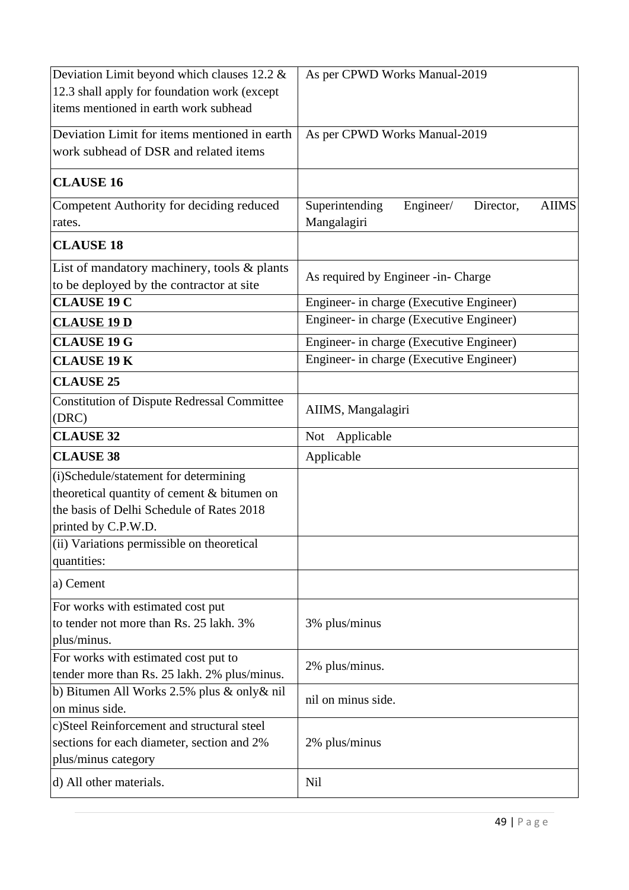| Deviation Limit beyond which clauses 12.2 &                   | As per CPWD Works Manual-2019                            |  |  |  |  |
|---------------------------------------------------------------|----------------------------------------------------------|--|--|--|--|
| 12.3 shall apply for foundation work (except                  |                                                          |  |  |  |  |
| items mentioned in earth work subhead                         |                                                          |  |  |  |  |
| Deviation Limit for items mentioned in earth                  | As per CPWD Works Manual-2019                            |  |  |  |  |
| work subhead of DSR and related items                         |                                                          |  |  |  |  |
| <b>CLAUSE 16</b>                                              |                                                          |  |  |  |  |
| Competent Authority for deciding reduced                      | Superintending<br><b>AIIMS</b><br>Engineer/<br>Director, |  |  |  |  |
| rates.                                                        | Mangalagiri                                              |  |  |  |  |
| <b>CLAUSE 18</b>                                              |                                                          |  |  |  |  |
| List of mandatory machinery, tools & plants                   | As required by Engineer -in- Charge                      |  |  |  |  |
| to be deployed by the contractor at site                      |                                                          |  |  |  |  |
| <b>CLAUSE 19 C</b>                                            | Engineer- in charge (Executive Engineer)                 |  |  |  |  |
| <b>CLAUSE 19 D</b>                                            | Engineer- in charge (Executive Engineer)                 |  |  |  |  |
| <b>CLAUSE 19 G</b>                                            | Engineer- in charge (Executive Engineer)                 |  |  |  |  |
| <b>CLAUSE 19 K</b>                                            | Engineer- in charge (Executive Engineer)                 |  |  |  |  |
| <b>CLAUSE 25</b>                                              |                                                          |  |  |  |  |
| <b>Constitution of Dispute Redressal Committee</b>            |                                                          |  |  |  |  |
| (DRC)                                                         | AIIMS, Mangalagiri                                       |  |  |  |  |
| <b>CLAUSE 32</b>                                              | Applicable<br>Not                                        |  |  |  |  |
| <b>CLAUSE 38</b>                                              | Applicable                                               |  |  |  |  |
| (i)Schedule/statement for determining                         |                                                          |  |  |  |  |
| theoretical quantity of cement & bitumen on                   |                                                          |  |  |  |  |
| the basis of Delhi Schedule of Rates 2018                     |                                                          |  |  |  |  |
| printed by C.P.W.D.                                           |                                                          |  |  |  |  |
| (ii) Variations permissible on theoretical                    |                                                          |  |  |  |  |
| quantities:                                                   |                                                          |  |  |  |  |
| a) Cement                                                     |                                                          |  |  |  |  |
| For works with estimated cost put                             |                                                          |  |  |  |  |
| to tender not more than Rs. 25 lakh. 3%                       | 3% plus/minus                                            |  |  |  |  |
| plus/minus.                                                   |                                                          |  |  |  |  |
| For works with estimated cost put to                          | 2% plus/minus.                                           |  |  |  |  |
| tender more than Rs. 25 lakh. 2% plus/minus.                  |                                                          |  |  |  |  |
| b) Bitumen All Works 2.5% plus & only & nil<br>on minus side. | nil on minus side.                                       |  |  |  |  |
| c)Steel Reinforcement and structural steel                    |                                                          |  |  |  |  |
| sections for each diameter, section and 2%                    | 2% plus/minus                                            |  |  |  |  |
| plus/minus category                                           |                                                          |  |  |  |  |
| d) All other materials.                                       | <b>Nil</b>                                               |  |  |  |  |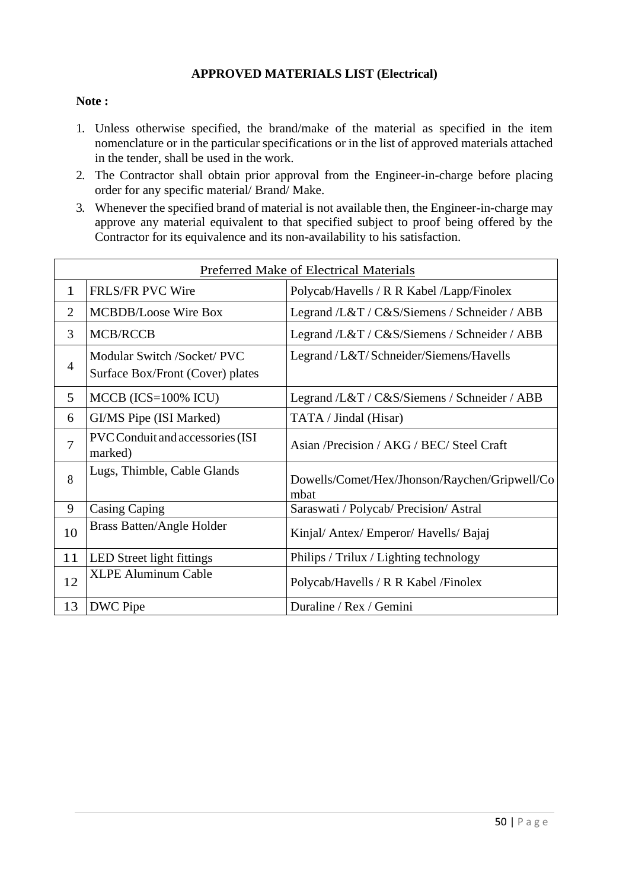#### **APPROVED MATERIALS LIST (Electrical)**

#### **Note :**

- 1. Unless otherwise specified, the brand/make of the material as specified in the item nomenclature or in the particular specifications or in the list of approved materials attached in the tender, shall be used in the work.
- 2. The Contractor shall obtain prior approval from the Engineer-in-charge before placing order for any specific material/ Brand/ Make.
- 3. Whenever the specified brand of material is not available then, the Engineer-in-charge may approve any material equivalent to that specified subject to proof being offered by the Contractor for its equivalence and its non-availability to his satisfaction.

| <b>Preferred Make of Electrical Materials</b> |                                                                 |                                                       |  |  |
|-----------------------------------------------|-----------------------------------------------------------------|-------------------------------------------------------|--|--|
| $\mathbf{1}$                                  | <b>FRLS/FR PVC Wire</b>                                         | Polycab/Havells / R R Kabel /Lapp/Finolex             |  |  |
| $\overline{2}$                                | <b>MCBDB/Loose Wire Box</b>                                     | Legrand /L&T / C&S/Siemens / Schneider / ABB          |  |  |
| 3                                             | <b>MCB/RCCB</b>                                                 | Legrand /L&T / C&S/Siemens / Schneider / ABB          |  |  |
| $\overline{4}$                                | Modular Switch /Socket/ PVC<br>Surface Box/Front (Cover) plates | Legrand/L&T/Schneider/Siemens/Havells                 |  |  |
| 5                                             | $MCCB (ICS=100\% ICU)$                                          | Legrand /L&T / C&S/Siemens / Schneider / ABB          |  |  |
| 6                                             | GI/MS Pipe (ISI Marked)                                         | TATA / Jindal (Hisar)                                 |  |  |
| 7                                             | PVC Conduit and accessories (ISI<br>marked)                     | Asian /Precision / AKG / BEC/ Steel Craft             |  |  |
| 8                                             | Lugs, Thimble, Cable Glands                                     | Dowells/Comet/Hex/Jhonson/Raychen/Gripwell/Co<br>mbat |  |  |
| 9                                             | <b>Casing Caping</b>                                            | Saraswati / Polycab/ Precision/ Astral                |  |  |
| 10                                            | <b>Brass Batten/Angle Holder</b>                                | Kinjal/ Antex/ Emperor/ Havells/ Bajaj                |  |  |
| 11                                            | LED Street light fittings                                       | Philips / Trilux / Lighting technology                |  |  |
| 12                                            | <b>XLPE Aluminum Cable</b>                                      | Polycab/Havells / R R Kabel /Finolex                  |  |  |
| 13                                            | DWC Pipe                                                        | Duraline / Rex / Gemini                               |  |  |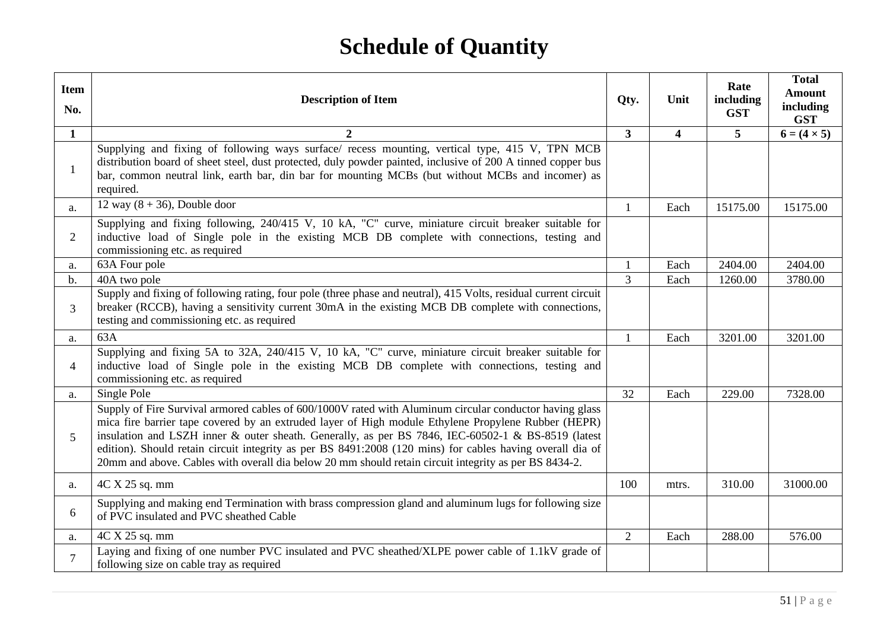# **Schedule of Quantity**

| <b>Item</b><br>No. | <b>Description of Item</b>                                                                                                                                                                                                                                                                                                                                                                                                                                                                                                                 | Qty.           | Unit                    | Rate<br>including<br><b>GST</b> | <b>Total</b><br><b>Amount</b><br>including<br><b>GST</b> |
|--------------------|--------------------------------------------------------------------------------------------------------------------------------------------------------------------------------------------------------------------------------------------------------------------------------------------------------------------------------------------------------------------------------------------------------------------------------------------------------------------------------------------------------------------------------------------|----------------|-------------------------|---------------------------------|----------------------------------------------------------|
| $\mathbf{1}$       | $\mathbf{2}$                                                                                                                                                                                                                                                                                                                                                                                                                                                                                                                               | $\overline{3}$ | $\overline{\mathbf{4}}$ | 5 <sup>5</sup>                  | $6 = (4 \times 5)$                                       |
| -1                 | Supplying and fixing of following ways surface/ recess mounting, vertical type, 415 V, TPN MCB<br>distribution board of sheet steel, dust protected, duly powder painted, inclusive of 200 A tinned copper bus<br>bar, common neutral link, earth bar, din bar for mounting MCBs (but without MCBs and incomer) as<br>required.                                                                                                                                                                                                            |                |                         |                                 |                                                          |
| a.                 | 12 way $(8 + 36)$ , Double door                                                                                                                                                                                                                                                                                                                                                                                                                                                                                                            | $\mathbf{1}$   | Each                    | 15175.00                        | 15175.00                                                 |
| 2                  | Supplying and fixing following, 240/415 V, 10 kA, "C" curve, miniature circuit breaker suitable for<br>inductive load of Single pole in the existing MCB DB complete with connections, testing and<br>commissioning etc. as required                                                                                                                                                                                                                                                                                                       |                |                         |                                 |                                                          |
| a.                 | 63A Four pole                                                                                                                                                                                                                                                                                                                                                                                                                                                                                                                              | 1              | Each                    | 2404.00                         | 2404.00                                                  |
| $b$ .              | 40A two pole                                                                                                                                                                                                                                                                                                                                                                                                                                                                                                                               | $\overline{3}$ | Each                    | 1260.00                         | 3780.00                                                  |
| 3                  | Supply and fixing of following rating, four pole (three phase and neutral), 415 Volts, residual current circuit<br>breaker (RCCB), having a sensitivity current 30mA in the existing MCB DB complete with connections,<br>testing and commissioning etc. as required                                                                                                                                                                                                                                                                       |                |                         |                                 |                                                          |
| a.                 | 63A                                                                                                                                                                                                                                                                                                                                                                                                                                                                                                                                        | $\mathbf{1}$   | Each                    | 3201.00                         | 3201.00                                                  |
| $\overline{4}$     | Supplying and fixing 5A to 32A, 240/415 V, 10 kA, "C" curve, miniature circuit breaker suitable for<br>inductive load of Single pole in the existing MCB DB complete with connections, testing and<br>commissioning etc. as required                                                                                                                                                                                                                                                                                                       |                |                         |                                 |                                                          |
| a.                 | Single Pole                                                                                                                                                                                                                                                                                                                                                                                                                                                                                                                                | 32             | Each                    | 229.00                          | 7328.00                                                  |
| 5                  | Supply of Fire Survival armored cables of 600/1000V rated with Aluminum circular conductor having glass<br>mica fire barrier tape covered by an extruded layer of High module Ethylene Propylene Rubber (HEPR)<br>insulation and LSZH inner & outer sheath. Generally, as per BS 7846, IEC-60502-1 & BS-8519 (latest<br>edition). Should retain circuit integrity as per BS 8491:2008 (120 mins) for cables having overall dia of<br>20mm and above. Cables with overall dia below 20 mm should retain circuit integrity as per BS 8434-2. |                |                         |                                 |                                                          |
| a.                 | 4C X 25 sq. mm                                                                                                                                                                                                                                                                                                                                                                                                                                                                                                                             | 100            | mtrs.                   | 310.00                          | 31000.00                                                 |
| 6                  | Supplying and making end Termination with brass compression gland and aluminum lugs for following size<br>of PVC insulated and PVC sheathed Cable                                                                                                                                                                                                                                                                                                                                                                                          |                |                         |                                 |                                                          |
| a.                 | 4C X 25 sq. mm                                                                                                                                                                                                                                                                                                                                                                                                                                                                                                                             | $\overline{2}$ | Each                    | 288.00                          | 576.00                                                   |
|                    | Laying and fixing of one number PVC insulated and PVC sheathed/XLPE power cable of 1.1kV grade of<br>following size on cable tray as required                                                                                                                                                                                                                                                                                                                                                                                              |                |                         |                                 |                                                          |